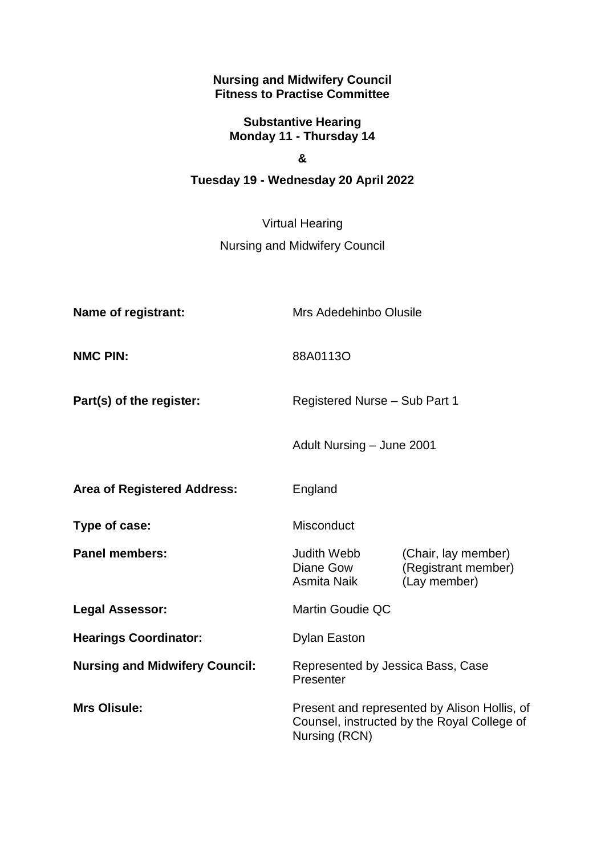#### **Nursing and Midwifery Council Fitness to Practise Committee**

## **Substantive Hearing Monday 11 - Thursday 14**

### **&**

# **Tuesday 19 - Wednesday 20 April 2022**

Virtual Hearing Nursing and Midwifery Council

| <b>Name of registrant:</b>            | Mrs Adedehinbo Olusile                                                                                       |                                                            |
|---------------------------------------|--------------------------------------------------------------------------------------------------------------|------------------------------------------------------------|
| <b>NMC PIN:</b>                       | 88A0113O                                                                                                     |                                                            |
| Part(s) of the register:              | Registered Nurse - Sub Part 1                                                                                |                                                            |
|                                       | Adult Nursing - June 2001                                                                                    |                                                            |
| <b>Area of Registered Address:</b>    | England                                                                                                      |                                                            |
| Type of case:                         | Misconduct                                                                                                   |                                                            |
| <b>Panel members:</b>                 | Judith Webb<br>Diane Gow<br>Asmita Naik                                                                      | (Chair, lay member)<br>(Registrant member)<br>(Lay member) |
| Legal Assessor:                       | <b>Martin Goudie QC</b>                                                                                      |                                                            |
| <b>Hearings Coordinator:</b>          | <b>Dylan Easton</b>                                                                                          |                                                            |
| <b>Nursing and Midwifery Council:</b> | Represented by Jessica Bass, Case<br>Presenter                                                               |                                                            |
| <b>Mrs Olisule:</b>                   | Present and represented by Alison Hollis, of<br>Counsel, instructed by the Royal College of<br>Nursing (RCN) |                                                            |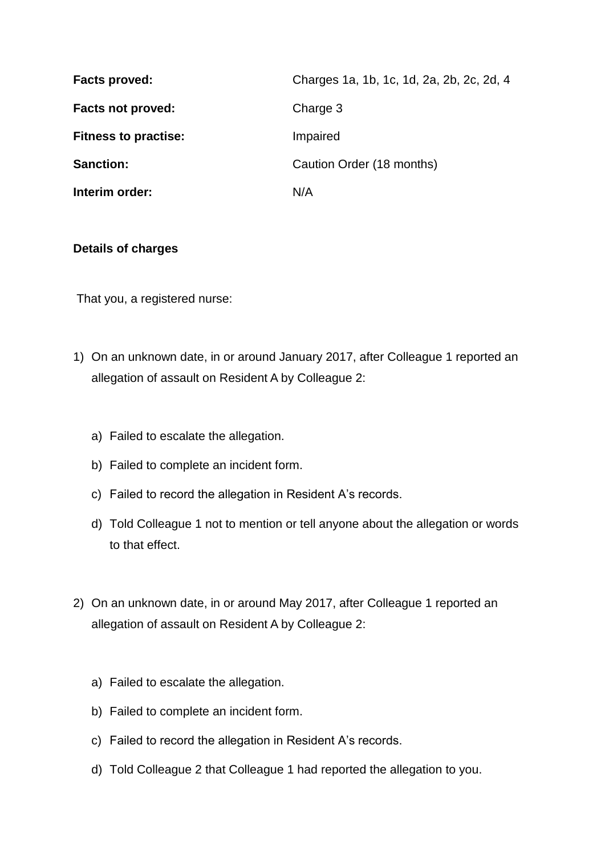| Facts proved:               | Charges 1a, 1b, 1c, 1d, 2a, 2b, 2c, 2d, 4 |  |
|-----------------------------|-------------------------------------------|--|
| <b>Facts not proved:</b>    | Charge 3                                  |  |
| <b>Fitness to practise:</b> | Impaired                                  |  |
| <b>Sanction:</b>            | Caution Order (18 months)                 |  |
| Interim order:              | N/A                                       |  |

### **Details of charges**

That you, a registered nurse:

- 1) On an unknown date, in or around January 2017, after Colleague 1 reported an allegation of assault on Resident A by Colleague 2:
	- a) Failed to escalate the allegation.
	- b) Failed to complete an incident form.
	- c) Failed to record the allegation in Resident A's records.
	- d) Told Colleague 1 not to mention or tell anyone about the allegation or words to that effect.
- 2) On an unknown date, in or around May 2017, after Colleague 1 reported an allegation of assault on Resident A by Colleague 2:
	- a) Failed to escalate the allegation.
	- b) Failed to complete an incident form.
	- c) Failed to record the allegation in Resident A's records.
	- d) Told Colleague 2 that Colleague 1 had reported the allegation to you.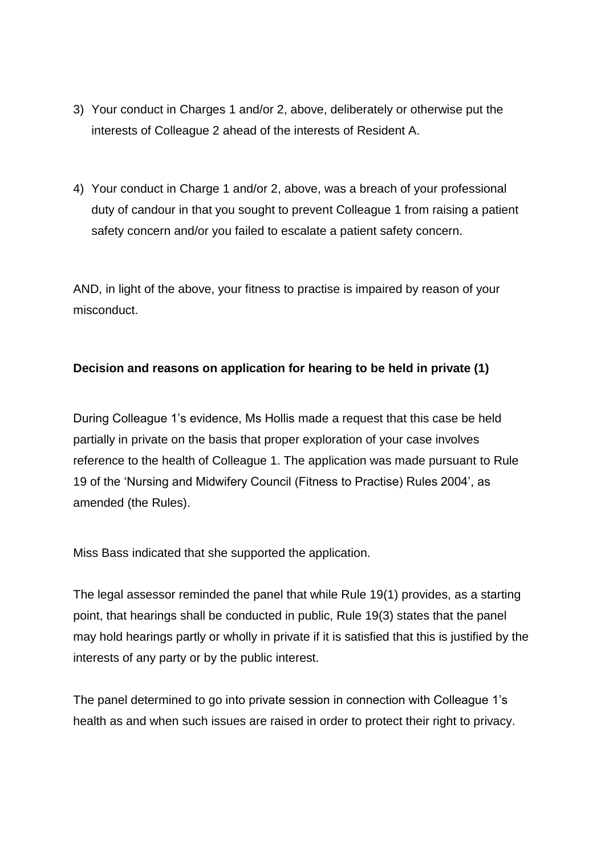- 3) Your conduct in Charges 1 and/or 2, above, deliberately or otherwise put the interests of Colleague 2 ahead of the interests of Resident A.
- 4) Your conduct in Charge 1 and/or 2, above, was a breach of your professional duty of candour in that you sought to prevent Colleague 1 from raising a patient safety concern and/or you failed to escalate a patient safety concern.

AND, in light of the above, your fitness to practise is impaired by reason of your misconduct.

## **Decision and reasons on application for hearing to be held in private (1)**

During Colleague 1's evidence, Ms Hollis made a request that this case be held partially in private on the basis that proper exploration of your case involves reference to the health of Colleague 1. The application was made pursuant to Rule 19 of the 'Nursing and Midwifery Council (Fitness to Practise) Rules 2004', as amended (the Rules).

Miss Bass indicated that she supported the application.

The legal assessor reminded the panel that while Rule 19(1) provides, as a starting point, that hearings shall be conducted in public, Rule 19(3) states that the panel may hold hearings partly or wholly in private if it is satisfied that this is justified by the interests of any party or by the public interest.

The panel determined to go into private session in connection with Colleague 1's health as and when such issues are raised in order to protect their right to privacy.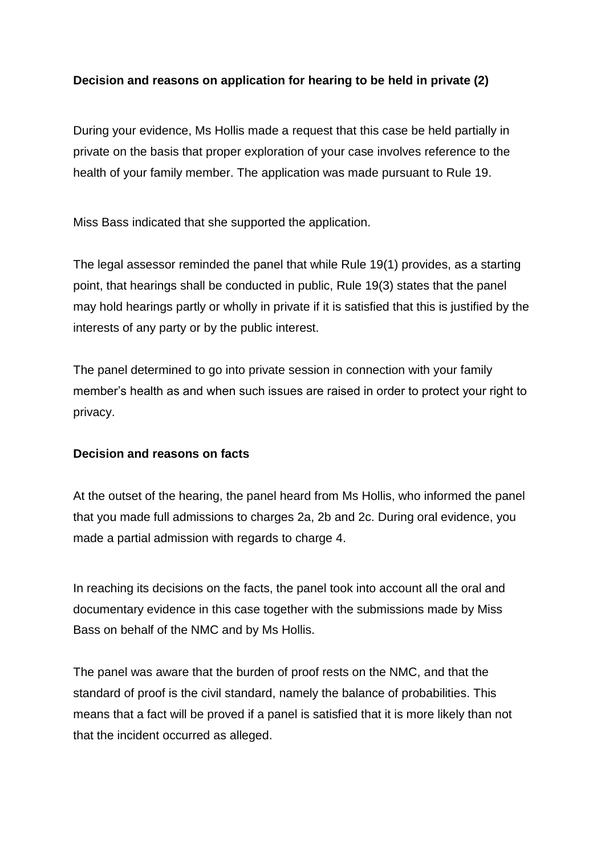## **Decision and reasons on application for hearing to be held in private (2)**

During your evidence, Ms Hollis made a request that this case be held partially in private on the basis that proper exploration of your case involves reference to the health of your family member. The application was made pursuant to Rule 19.

Miss Bass indicated that she supported the application.

The legal assessor reminded the panel that while Rule 19(1) provides, as a starting point, that hearings shall be conducted in public, Rule 19(3) states that the panel may hold hearings partly or wholly in private if it is satisfied that this is justified by the interests of any party or by the public interest.

The panel determined to go into private session in connection with your family member's health as and when such issues are raised in order to protect your right to privacy.

## **Decision and reasons on facts**

At the outset of the hearing, the panel heard from Ms Hollis, who informed the panel that you made full admissions to charges 2a, 2b and 2c. During oral evidence, you made a partial admission with regards to charge 4.

In reaching its decisions on the facts, the panel took into account all the oral and documentary evidence in this case together with the submissions made by Miss Bass on behalf of the NMC and by Ms Hollis.

The panel was aware that the burden of proof rests on the NMC, and that the standard of proof is the civil standard, namely the balance of probabilities. This means that a fact will be proved if a panel is satisfied that it is more likely than not that the incident occurred as alleged.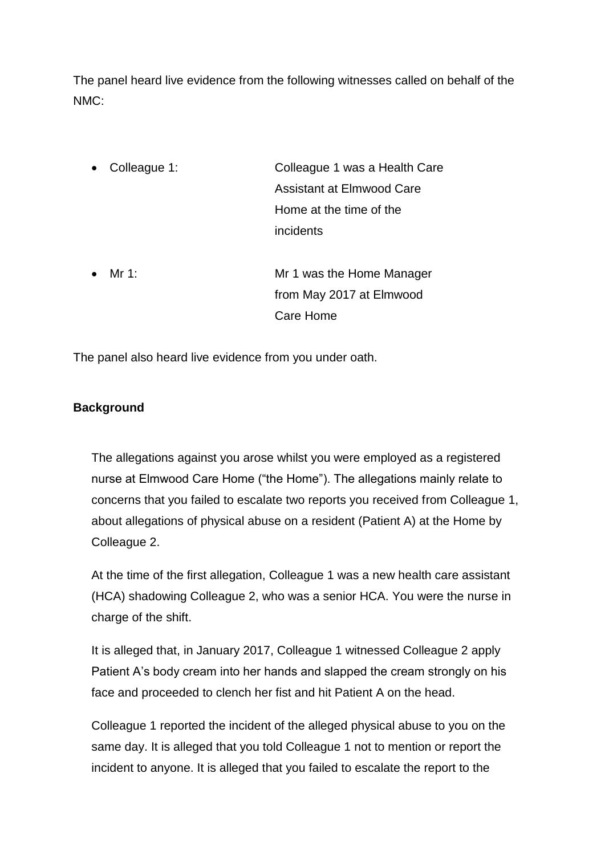The panel heard live evidence from the following witnesses called on behalf of the NMC:

| Colleague 1: | Colleague 1 was a Health Care |
|--------------|-------------------------------|
|              | Assistant at Elmwood Care     |
|              | Home at the time of the       |
|              | incidents                     |
|              |                               |
| Mr 1.        | Mr 1 was the Home Manager     |

from May 2017 at Elmwood Care Home

The panel also heard live evidence from you under oath.

## **Background**

The allegations against you arose whilst you were employed as a registered nurse at Elmwood Care Home ("the Home"). The allegations mainly relate to concerns that you failed to escalate two reports you received from Colleague 1, about allegations of physical abuse on a resident (Patient A) at the Home by Colleague 2.

At the time of the first allegation, Colleague 1 was a new health care assistant (HCA) shadowing Colleague 2, who was a senior HCA. You were the nurse in charge of the shift.

It is alleged that, in January 2017, Colleague 1 witnessed Colleague 2 apply Patient A's body cream into her hands and slapped the cream strongly on his face and proceeded to clench her fist and hit Patient A on the head.

Colleague 1 reported the incident of the alleged physical abuse to you on the same day. It is alleged that you told Colleague 1 not to mention or report the incident to anyone. It is alleged that you failed to escalate the report to the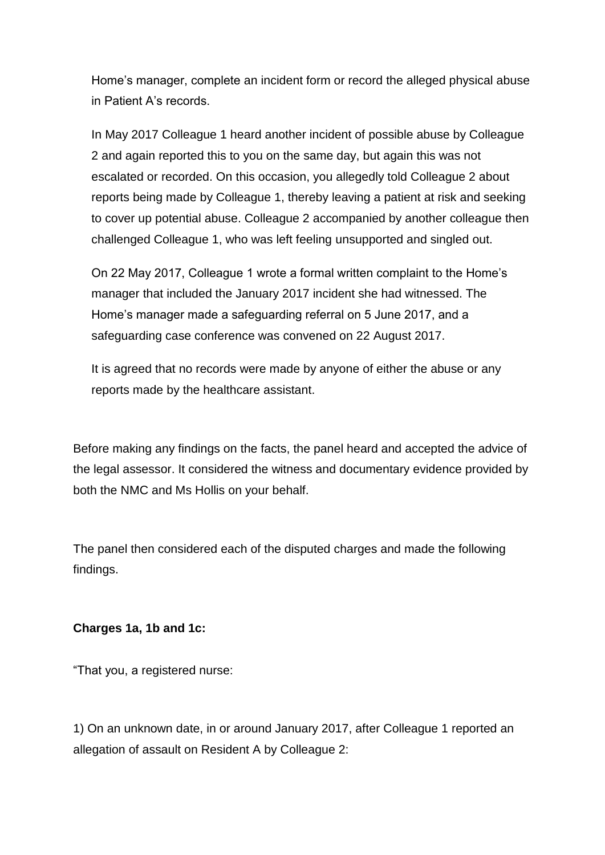Home's manager, complete an incident form or record the alleged physical abuse in Patient A's records.

In May 2017 Colleague 1 heard another incident of possible abuse by Colleague 2 and again reported this to you on the same day, but again this was not escalated or recorded. On this occasion, you allegedly told Colleague 2 about reports being made by Colleague 1, thereby leaving a patient at risk and seeking to cover up potential abuse. Colleague 2 accompanied by another colleague then challenged Colleague 1, who was left feeling unsupported and singled out.

On 22 May 2017, Colleague 1 wrote a formal written complaint to the Home's manager that included the January 2017 incident she had witnessed. The Home's manager made a safeguarding referral on 5 June 2017, and a safeguarding case conference was convened on 22 August 2017.

It is agreed that no records were made by anyone of either the abuse or any reports made by the healthcare assistant.

Before making any findings on the facts, the panel heard and accepted the advice of the legal assessor. It considered the witness and documentary evidence provided by both the NMC and Ms Hollis on your behalf.

The panel then considered each of the disputed charges and made the following findings.

### **Charges 1a, 1b and 1c:**

"That you, a registered nurse:

1) On an unknown date, in or around January 2017, after Colleague 1 reported an allegation of assault on Resident A by Colleague 2: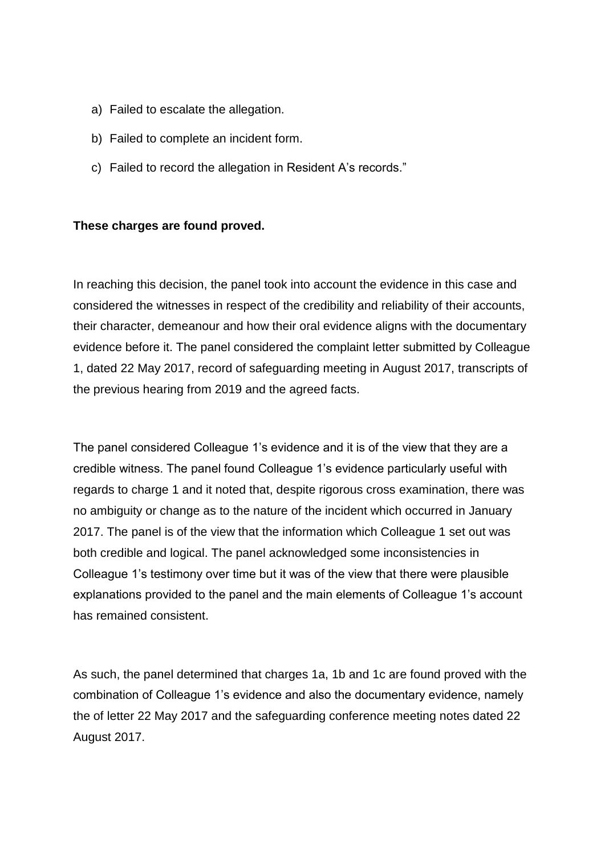- a) Failed to escalate the allegation.
- b) Failed to complete an incident form.
- c) Failed to record the allegation in Resident A's records."

## **These charges are found proved.**

In reaching this decision, the panel took into account the evidence in this case and considered the witnesses in respect of the credibility and reliability of their accounts, their character, demeanour and how their oral evidence aligns with the documentary evidence before it. The panel considered the complaint letter submitted by Colleague 1, dated 22 May 2017, record of safeguarding meeting in August 2017, transcripts of the previous hearing from 2019 and the agreed facts.

The panel considered Colleague 1's evidence and it is of the view that they are a credible witness. The panel found Colleague 1's evidence particularly useful with regards to charge 1 and it noted that, despite rigorous cross examination, there was no ambiguity or change as to the nature of the incident which occurred in January 2017. The panel is of the view that the information which Colleague 1 set out was both credible and logical. The panel acknowledged some inconsistencies in Colleague 1's testimony over time but it was of the view that there were plausible explanations provided to the panel and the main elements of Colleague 1's account has remained consistent.

As such, the panel determined that charges 1a, 1b and 1c are found proved with the combination of Colleague 1's evidence and also the documentary evidence, namely the of letter 22 May 2017 and the safeguarding conference meeting notes dated 22 August 2017.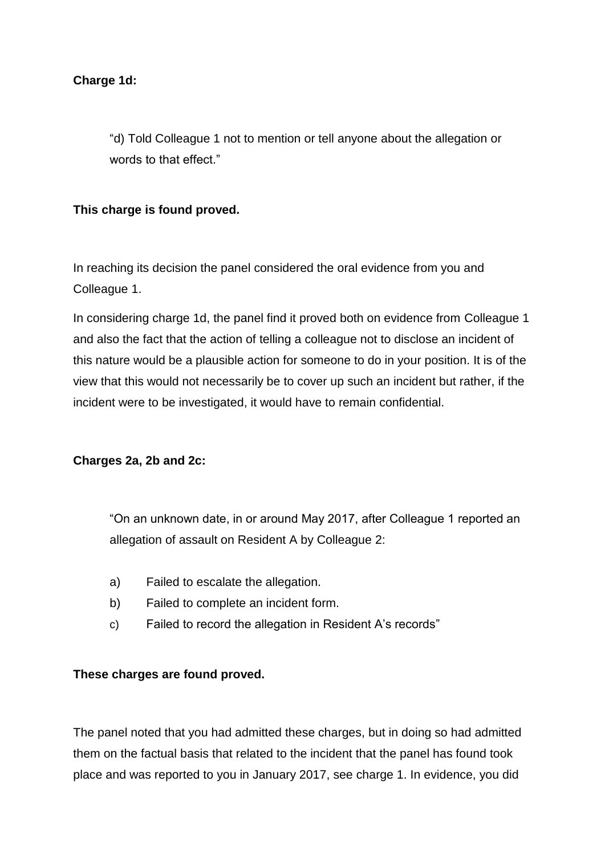## **Charge 1d:**

"d) Told Colleague 1 not to mention or tell anyone about the allegation or words to that effect."

### **This charge is found proved.**

In reaching its decision the panel considered the oral evidence from you and Colleague 1.

In considering charge 1d, the panel find it proved both on evidence from Colleague 1 and also the fact that the action of telling a colleague not to disclose an incident of this nature would be a plausible action for someone to do in your position. It is of the view that this would not necessarily be to cover up such an incident but rather, if the incident were to be investigated, it would have to remain confidential.

### **Charges 2a, 2b and 2c:**

"On an unknown date, in or around May 2017, after Colleague 1 reported an allegation of assault on Resident A by Colleague 2:

- a) Failed to escalate the allegation.
- b) Failed to complete an incident form.
- c) Failed to record the allegation in Resident A's records"

### **These charges are found proved.**

The panel noted that you had admitted these charges, but in doing so had admitted them on the factual basis that related to the incident that the panel has found took place and was reported to you in January 2017, see charge 1. In evidence, you did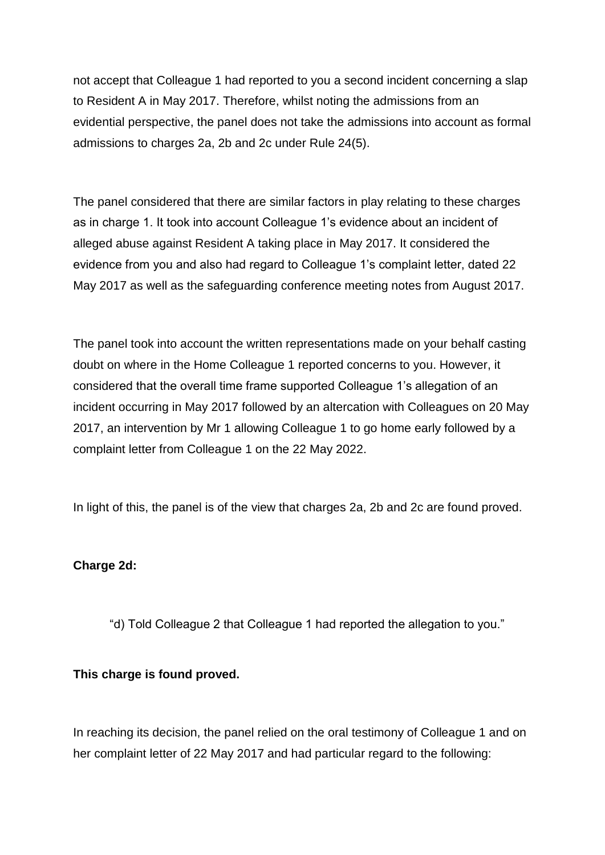not accept that Colleague 1 had reported to you a second incident concerning a slap to Resident A in May 2017. Therefore, whilst noting the admissions from an evidential perspective, the panel does not take the admissions into account as formal admissions to charges 2a, 2b and 2c under Rule 24(5).

The panel considered that there are similar factors in play relating to these charges as in charge 1. It took into account Colleague 1's evidence about an incident of alleged abuse against Resident A taking place in May 2017. It considered the evidence from you and also had regard to Colleague 1's complaint letter, dated 22 May 2017 as well as the safeguarding conference meeting notes from August 2017.

The panel took into account the written representations made on your behalf casting doubt on where in the Home Colleague 1 reported concerns to you. However, it considered that the overall time frame supported Colleague 1's allegation of an incident occurring in May 2017 followed by an altercation with Colleagues on 20 May 2017, an intervention by Mr 1 allowing Colleague 1 to go home early followed by a complaint letter from Colleague 1 on the 22 May 2022.

In light of this, the panel is of the view that charges 2a, 2b and 2c are found proved.

### **Charge 2d:**

"d) Told Colleague 2 that Colleague 1 had reported the allegation to you."

## **This charge is found proved.**

In reaching its decision, the panel relied on the oral testimony of Colleague 1 and on her complaint letter of 22 May 2017 and had particular regard to the following: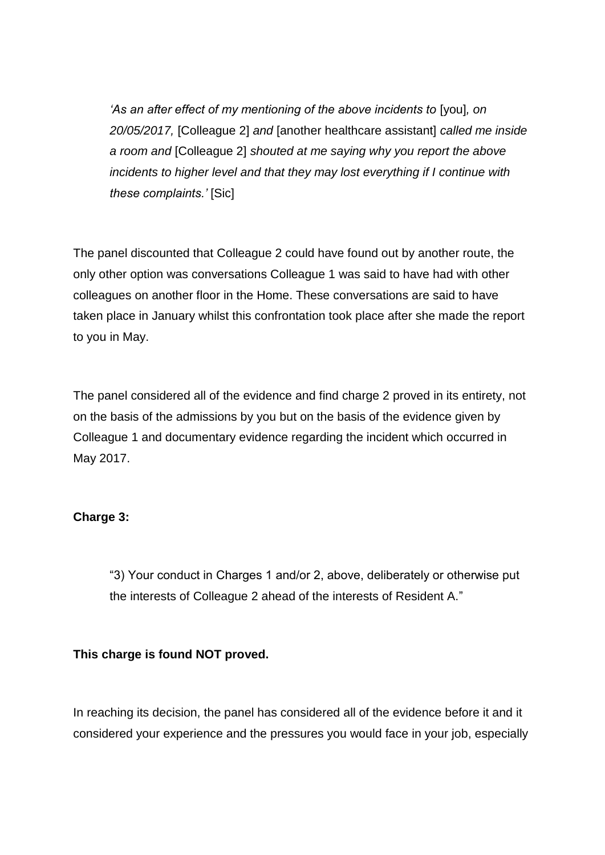*'As an after effect of my mentioning of the above incidents to [you], on 20/05/2017,* [Colleague 2] *and* [another healthcare assistant] *called me inside a room and* [Colleague 2] *shouted at me saying why you report the above incidents to higher level and that they may lost everything if I continue with these complaints.'* [Sic]

The panel discounted that Colleague 2 could have found out by another route, the only other option was conversations Colleague 1 was said to have had with other colleagues on another floor in the Home. These conversations are said to have taken place in January whilst this confrontation took place after she made the report to you in May.

The panel considered all of the evidence and find charge 2 proved in its entirety, not on the basis of the admissions by you but on the basis of the evidence given by Colleague 1 and documentary evidence regarding the incident which occurred in May 2017.

## **Charge 3:**

"3) Your conduct in Charges 1 and/or 2, above, deliberately or otherwise put the interests of Colleague 2 ahead of the interests of Resident A."

## **This charge is found NOT proved.**

In reaching its decision, the panel has considered all of the evidence before it and it considered your experience and the pressures you would face in your job, especially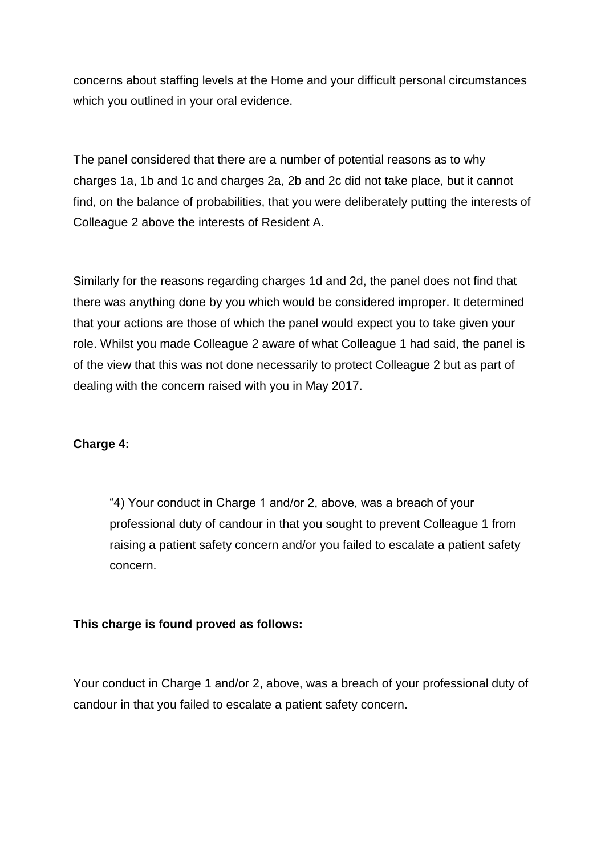concerns about staffing levels at the Home and your difficult personal circumstances which you outlined in your oral evidence.

The panel considered that there are a number of potential reasons as to why charges 1a, 1b and 1c and charges 2a, 2b and 2c did not take place, but it cannot find, on the balance of probabilities, that you were deliberately putting the interests of Colleague 2 above the interests of Resident A.

Similarly for the reasons regarding charges 1d and 2d, the panel does not find that there was anything done by you which would be considered improper. It determined that your actions are those of which the panel would expect you to take given your role. Whilst you made Colleague 2 aware of what Colleague 1 had said, the panel is of the view that this was not done necessarily to protect Colleague 2 but as part of dealing with the concern raised with you in May 2017.

## **Charge 4:**

"4) Your conduct in Charge 1 and/or 2, above, was a breach of your professional duty of candour in that you sought to prevent Colleague 1 from raising a patient safety concern and/or you failed to escalate a patient safety concern.

### **This charge is found proved as follows:**

Your conduct in Charge 1 and/or 2, above, was a breach of your professional duty of candour in that you failed to escalate a patient safety concern.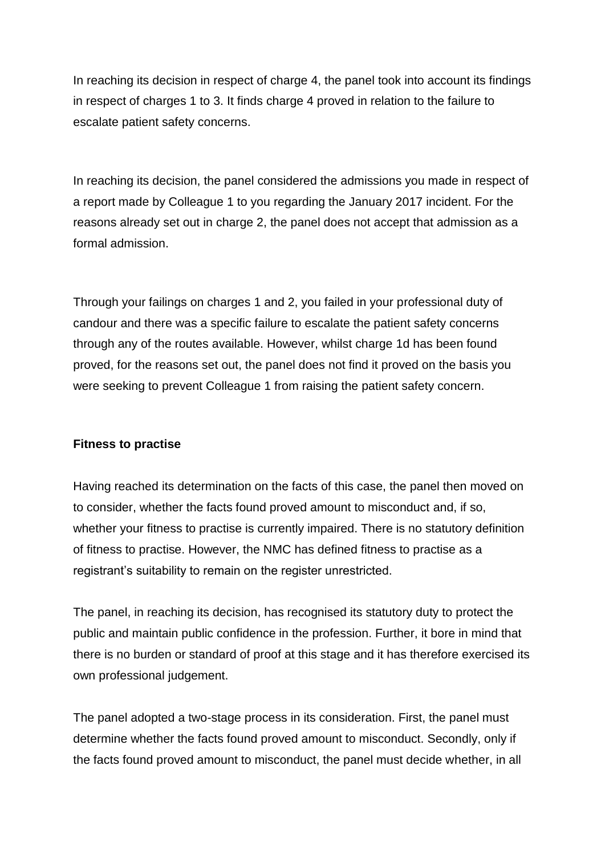In reaching its decision in respect of charge 4, the panel took into account its findings in respect of charges 1 to 3. It finds charge 4 proved in relation to the failure to escalate patient safety concerns.

In reaching its decision, the panel considered the admissions you made in respect of a report made by Colleague 1 to you regarding the January 2017 incident. For the reasons already set out in charge 2, the panel does not accept that admission as a formal admission.

Through your failings on charges 1 and 2, you failed in your professional duty of candour and there was a specific failure to escalate the patient safety concerns through any of the routes available. However, whilst charge 1d has been found proved, for the reasons set out, the panel does not find it proved on the basis you were seeking to prevent Colleague 1 from raising the patient safety concern.

### **Fitness to practise**

Having reached its determination on the facts of this case, the panel then moved on to consider, whether the facts found proved amount to misconduct and, if so, whether your fitness to practise is currently impaired. There is no statutory definition of fitness to practise. However, the NMC has defined fitness to practise as a registrant's suitability to remain on the register unrestricted.

The panel, in reaching its decision, has recognised its statutory duty to protect the public and maintain public confidence in the profession. Further, it bore in mind that there is no burden or standard of proof at this stage and it has therefore exercised its own professional judgement.

The panel adopted a two-stage process in its consideration. First, the panel must determine whether the facts found proved amount to misconduct. Secondly, only if the facts found proved amount to misconduct, the panel must decide whether, in all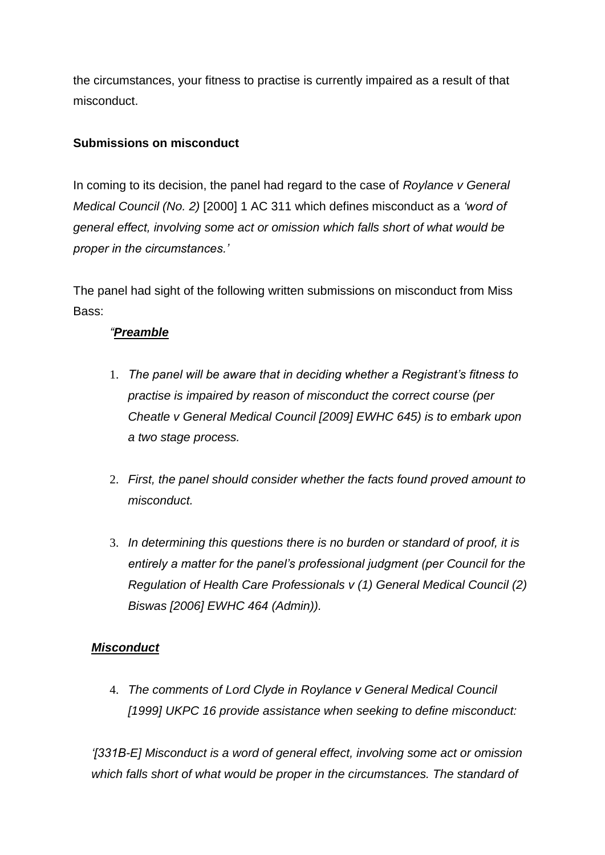the circumstances, your fitness to practise is currently impaired as a result of that misconduct.

## **Submissions on misconduct**

In coming to its decision, the panel had regard to the case of *Roylance v General Medical Council (No. 2)* [2000] 1 AC 311 which defines misconduct as a *'word of general effect, involving some act or omission which falls short of what would be proper in the circumstances.'*

The panel had sight of the following written submissions on misconduct from Miss Bass:

## *"Preamble*

- 1. *The panel will be aware that in deciding whether a Registrant's fitness to practise is impaired by reason of misconduct the correct course (per Cheatle v General Medical Council [2009] EWHC 645) is to embark upon a two stage process.*
- 2. *First, the panel should consider whether the facts found proved amount to misconduct.*
- 3. *In determining this questions there is no burden or standard of proof, it is entirely a matter for the panel's professional judgment (per Council for the Regulation of Health Care Professionals v (1) General Medical Council (2) Biswas [2006] EWHC 464 (Admin)).*

# *Misconduct*

4. *The comments of Lord Clyde in Roylance v General Medical Council [1999] UKPC 16 provide assistance when seeking to define misconduct:*

*'[331B-E] Misconduct is a word of general effect, involving some act or omission*  which falls short of what would be proper in the circumstances. The standard of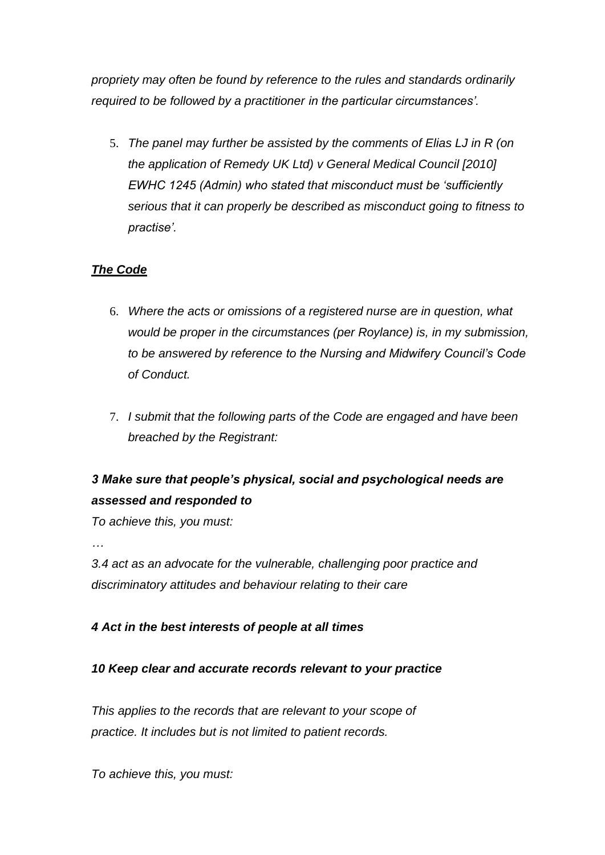*propriety may often be found by reference to the rules and standards ordinarily required to be followed by a practitioner in the particular circumstances'.*

5. *The panel may further be assisted by the comments of Elias LJ in R (on the application of Remedy UK Ltd) v General Medical Council [2010] EWHC 1245 (Admin) who stated that misconduct must be 'sufficiently serious that it can properly be described as misconduct going to fitness to practise'.*

# *The Code*

- 6. *Where the acts or omissions of a registered nurse are in question, what would be proper in the circumstances (per Roylance) is, in my submission, to be answered by reference to the Nursing and Midwifery Council's Code of Conduct.*
- 7. *I submit that the following parts of the Code are engaged and have been breached by the Registrant:*

# *3 Make sure that people's physical, social and psychological needs are assessed and responded to*

*To achieve this, you must:* 

*…*

*3.4 act as an advocate for the vulnerable, challenging poor practice and discriminatory attitudes and behaviour relating to their care*

# *4 Act in the best interests of people at all times*

## *10 Keep clear and accurate records relevant to your practice*

*This applies to the records that are relevant to your scope of practice. It includes but is not limited to patient records.*

*To achieve this, you must:*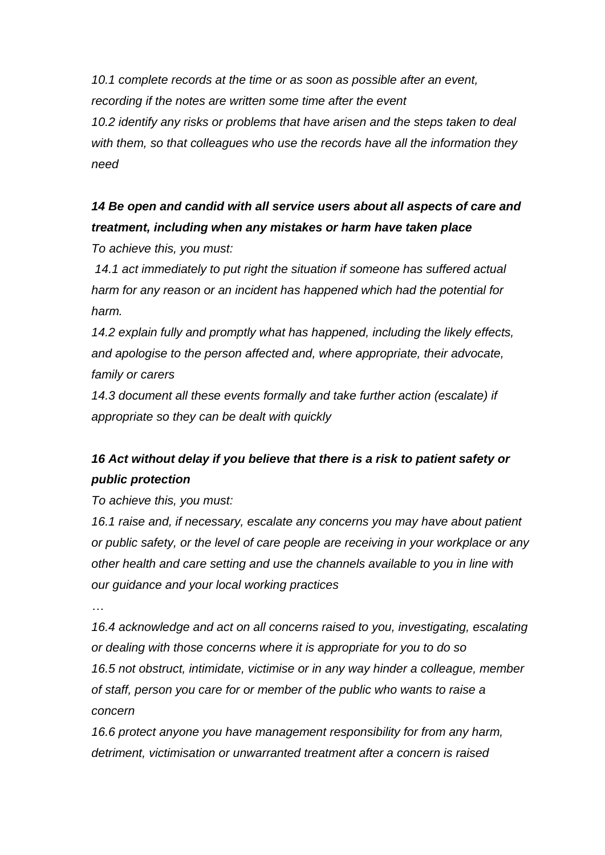*10.1 complete records at the time or as soon as possible after an event, recording if the notes are written some time after the event 10.2 identify any risks or problems that have arisen and the steps taken to deal* 

*with them, so that colleagues who use the records have all the information they need*

# *14 Be open and candid with all service users about all aspects of care and treatment, including when any mistakes or harm have taken place*

*To achieve this, you must:*

*14.1 act immediately to put right the situation if someone has suffered actual harm for any reason or an incident has happened which had the potential for harm.*

*14.2 explain fully and promptly what has happened, including the likely effects, and apologise to the person affected and, where appropriate, their advocate, family or carers*

*14.3 document all these events formally and take further action (escalate) if appropriate so they can be dealt with quickly*

# *16 Act without delay if you believe that there is a risk to patient safety or public protection*

*To achieve this, you must:* 

*16.1 raise and, if necessary, escalate any concerns you may have about patient or public safety, or the level of care people are receiving in your workplace or any other health and care setting and use the channels available to you in line with our guidance and your local working practices*

*…*

*16.4 acknowledge and act on all concerns raised to you, investigating, escalating or dealing with those concerns where it is appropriate for you to do so 16.5 not obstruct, intimidate, victimise or in any way hinder a colleague, member of staff, person you care for or member of the public who wants to raise a concern* 

*16.6 protect anyone you have management responsibility for from any harm, detriment, victimisation or unwarranted treatment after a concern is raised*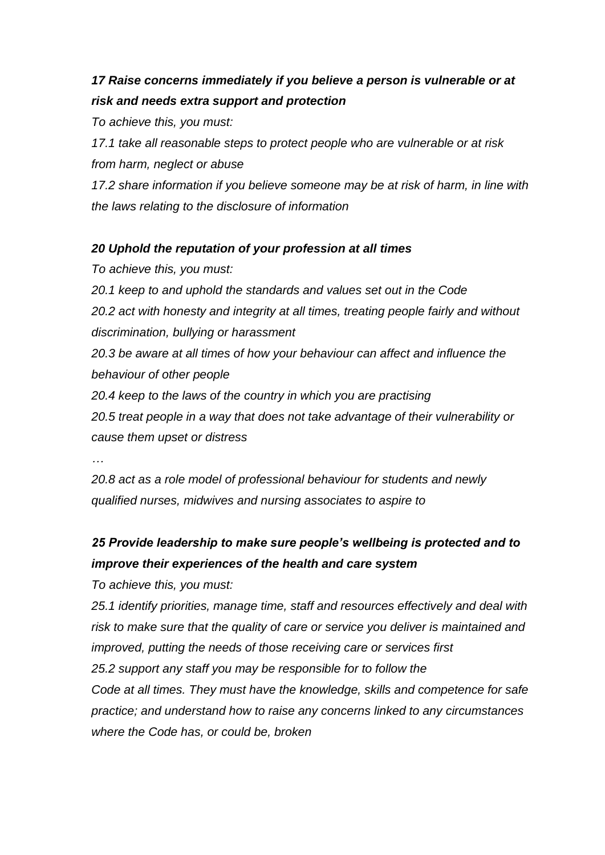# *17 Raise concerns immediately if you believe a person is vulnerable or at risk and needs extra support and protection*

*To achieve this, you must:* 

*17.1 take all reasonable steps to protect people who are vulnerable or at risk from harm, neglect or abuse* 

*17.2 share information if you believe someone may be at risk of harm, in line with the laws relating to the disclosure of information*

## *20 Uphold the reputation of your profession at all times*

*To achieve this, you must:* 

*20.1 keep to and uphold the standards and values set out in the Code 20.2 act with honesty and integrity at all times, treating people fairly and without discrimination, bullying or harassment* 

*20.3 be aware at all times of how your behaviour can affect and influence the behaviour of other people* 

*20.4 keep to the laws of the country in which you are practising* 

*20.5 treat people in a way that does not take advantage of their vulnerability or cause them upset or distress*

*…*

*20.8 act as a role model of professional behaviour for students and newly qualified nurses, midwives and nursing associates to aspire to*

# *25 Provide leadership to make sure people's wellbeing is protected and to improve their experiences of the health and care system*

*To achieve this, you must:*

*25.1 identify priorities, manage time, staff and resources effectively and deal with risk to make sure that the quality of care or service you deliver is maintained and improved, putting the needs of those receiving care or services first 25.2 support any staff you may be responsible for to follow the Code at all times. They must have the knowledge, skills and competence for safe practice; and understand how to raise any concerns linked to any circumstances where the Code has, or could be, broken*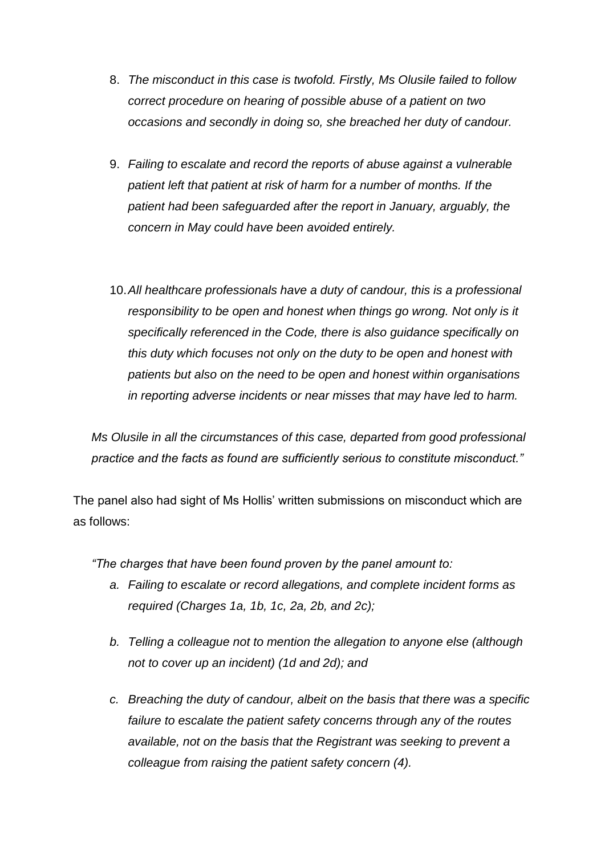- 8. *The misconduct in this case is twofold. Firstly, Ms Olusile failed to follow correct procedure on hearing of possible abuse of a patient on two occasions and secondly in doing so, she breached her duty of candour.*
- 9. *Failing to escalate and record the reports of abuse against a vulnerable patient left that patient at risk of harm for a number of months. If the patient had been safeguarded after the report in January, arguably, the concern in May could have been avoided entirely.*
- 10.*All healthcare professionals have a duty of candour, this is a professional responsibility to be open and honest when things go wrong. Not only is it specifically referenced in the Code, there is also guidance specifically on this duty which focuses not only on the duty to be open and honest with patients but also on the need to be open and honest within organisations in reporting adverse incidents or near misses that may have led to harm.*

*Ms Olusile in all the circumstances of this case, departed from good professional practice and the facts as found are sufficiently serious to constitute misconduct."*

The panel also had sight of Ms Hollis' written submissions on misconduct which are as follows:

*"The charges that have been found proven by the panel amount to:* 

- *a. Failing to escalate or record allegations, and complete incident forms as required (Charges 1a, 1b, 1c, 2a, 2b, and 2c);*
- *b. Telling a colleague not to mention the allegation to anyone else (although not to cover up an incident) (1d and 2d); and*
- *c. Breaching the duty of candour, albeit on the basis that there was a specific failure to escalate the patient safety concerns through any of the routes available, not on the basis that the Registrant was seeking to prevent a colleague from raising the patient safety concern (4).*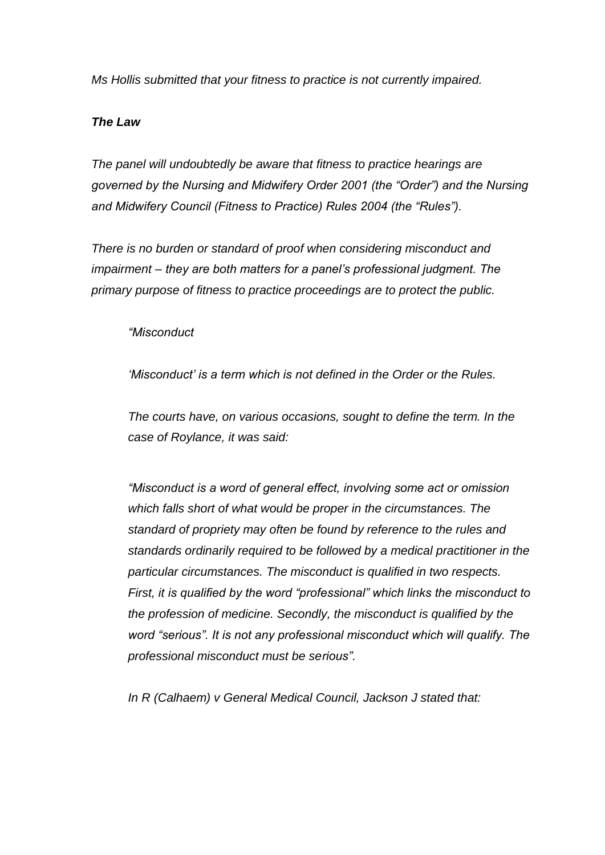*Ms Hollis submitted that your fitness to practice is not currently impaired.*

## *The Law*

*The panel will undoubtedly be aware that fitness to practice hearings are governed by the Nursing and Midwifery Order 2001 (the "Order") and the Nursing and Midwifery Council (Fitness to Practice) Rules 2004 (the "Rules").* 

*There is no burden or standard of proof when considering misconduct and impairment – they are both matters for a panel's professional judgment. The primary purpose of fitness to practice proceedings are to protect the public.* 

## *"Misconduct*

*'Misconduct' is a term which is not defined in the Order or the Rules.* 

*The courts have, on various occasions, sought to define the term. In the case of Roylance, it was said:* 

*"Misconduct is a word of general effect, involving some act or omission which falls short of what would be proper in the circumstances. The standard of propriety may often be found by reference to the rules and standards ordinarily required to be followed by a medical practitioner in the particular circumstances. The misconduct is qualified in two respects. First, it is qualified by the word "professional" which links the misconduct to the profession of medicine. Secondly, the misconduct is qualified by the word "serious". It is not any professional misconduct which will qualify. The professional misconduct must be serious".* 

*In R (Calhaem) v General Medical Council, Jackson J stated that:*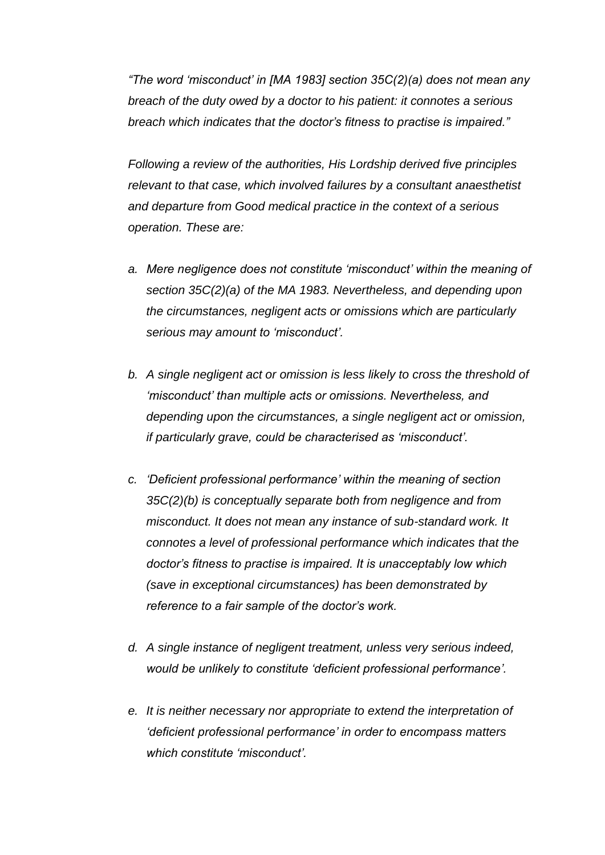*"The word 'misconduct' in [MA 1983] section 35C(2)(a) does not mean any breach of the duty owed by a doctor to his patient: it connotes a serious breach which indicates that the doctor's fitness to practise is impaired."* 

*Following a review of the authorities, His Lordship derived five principles relevant to that case, which involved failures by a consultant anaesthetist and departure from Good medical practice in the context of a serious operation. These are:* 

- *a. Mere negligence does not constitute 'misconduct' within the meaning of section 35C(2)(a) of the MA 1983. Nevertheless, and depending upon the circumstances, negligent acts or omissions which are particularly serious may amount to 'misconduct'.*
- *b. A single negligent act or omission is less likely to cross the threshold of 'misconduct' than multiple acts or omissions. Nevertheless, and depending upon the circumstances, a single negligent act or omission, if particularly grave, could be characterised as 'misconduct'.*
- *c. 'Deficient professional performance' within the meaning of section 35C(2)(b) is conceptually separate both from negligence and from misconduct. It does not mean any instance of sub-standard work. It connotes a level of professional performance which indicates that the doctor's fitness to practise is impaired. It is unacceptably low which (save in exceptional circumstances) has been demonstrated by reference to a fair sample of the doctor's work.*
- *d. A single instance of negligent treatment, unless very serious indeed, would be unlikely to constitute 'deficient professional performance'.*
- *e. It is neither necessary nor appropriate to extend the interpretation of 'deficient professional performance' in order to encompass matters which constitute 'misconduct'.*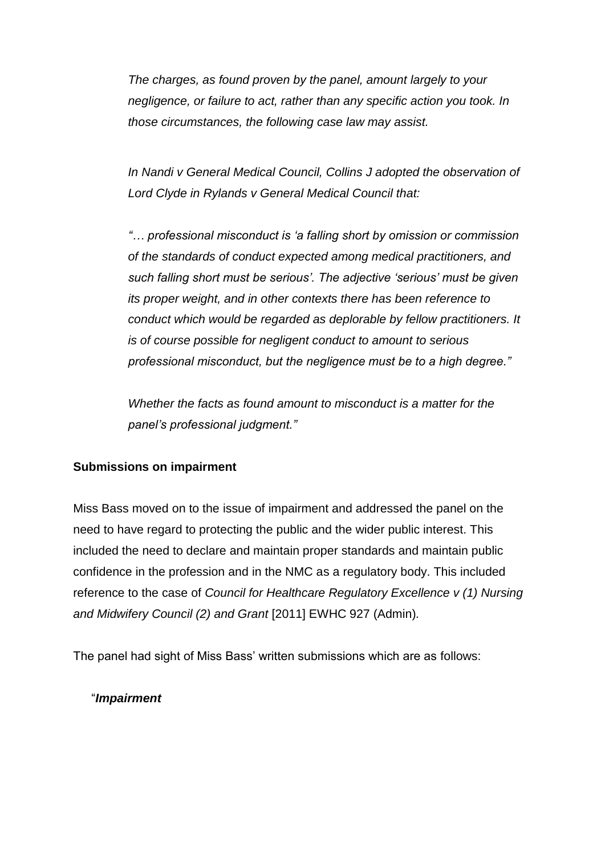*The charges, as found proven by the panel, amount largely to your negligence, or failure to act, rather than any specific action you took. In those circumstances, the following case law may assist.* 

*In Nandi v General Medical Council, Collins J adopted the observation of Lord Clyde in Rylands v General Medical Council that:* 

*"… professional misconduct is 'a falling short by omission or commission of the standards of conduct expected among medical practitioners, and such falling short must be serious'. The adjective 'serious' must be given its proper weight, and in other contexts there has been reference to conduct which would be regarded as deplorable by fellow practitioners. It is of course possible for negligent conduct to amount to serious professional misconduct, but the negligence must be to a high degree."* 

*Whether the facts as found amount to misconduct is a matter for the panel's professional judgment."*

## **Submissions on impairment**

Miss Bass moved on to the issue of impairment and addressed the panel on the need to have regard to protecting the public and the wider public interest. This included the need to declare and maintain proper standards and maintain public confidence in the profession and in the NMC as a regulatory body. This included reference to the case of *Council for Healthcare Regulatory Excellence v (1) Nursing and Midwifery Council (2) and Grant* [2011] EWHC 927 (Admin)*.* 

The panel had sight of Miss Bass' written submissions which are as follows:

"*Impairment*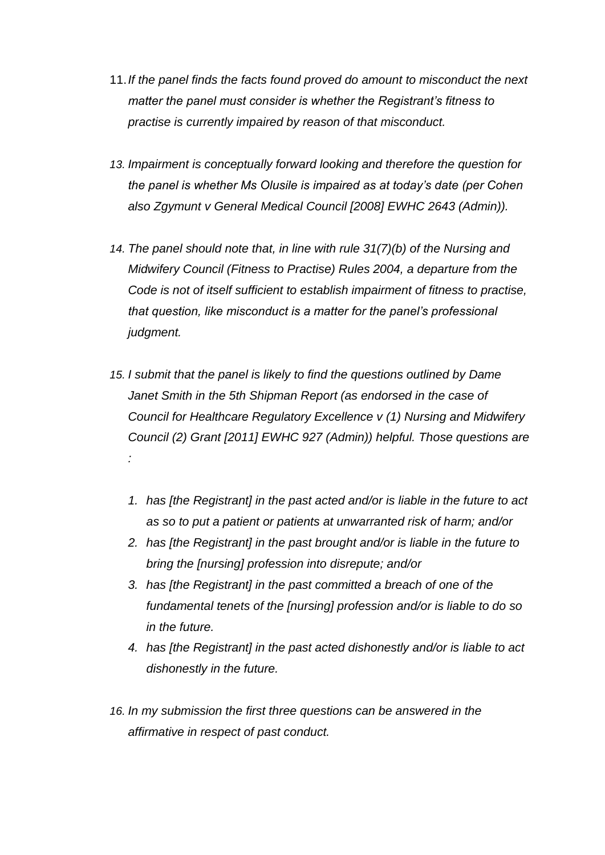- 11.*If the panel finds the facts found proved do amount to misconduct the next matter the panel must consider is whether the Registrant's fitness to practise is currently impaired by reason of that misconduct.*
- *13. Impairment is conceptually forward looking and therefore the question for the panel is whether Ms Olusile is impaired as at today's date (per Cohen also Zgymunt v General Medical Council [2008] EWHC 2643 (Admin)).*
- *14. The panel should note that, in line with rule 31(7)(b) of the Nursing and Midwifery Council (Fitness to Practise) Rules 2004, a departure from the Code is not of itself sufficient to establish impairment of fitness to practise, that question, like misconduct is a matter for the panel's professional judgment.*
- *15. I submit that the panel is likely to find the questions outlined by Dame Janet Smith in the 5th Shipman Report (as endorsed in the case of Council for Healthcare Regulatory Excellence v (1) Nursing and Midwifery Council (2) Grant [2011] EWHC 927 (Admin)) helpful. Those questions are :*
	- *1. has [the Registrant] in the past acted and/or is liable in the future to act as so to put a patient or patients at unwarranted risk of harm; and/or*
	- *2. has [the Registrant] in the past brought and/or is liable in the future to bring the [nursing] profession into disrepute; and/or*
	- *3. has [the Registrant] in the past committed a breach of one of the fundamental tenets of the [nursing] profession and/or is liable to do so in the future.*
	- *4. has [the Registrant] in the past acted dishonestly and/or is liable to act dishonestly in the future.*
- *16. In my submission the first three questions can be answered in the affirmative in respect of past conduct.*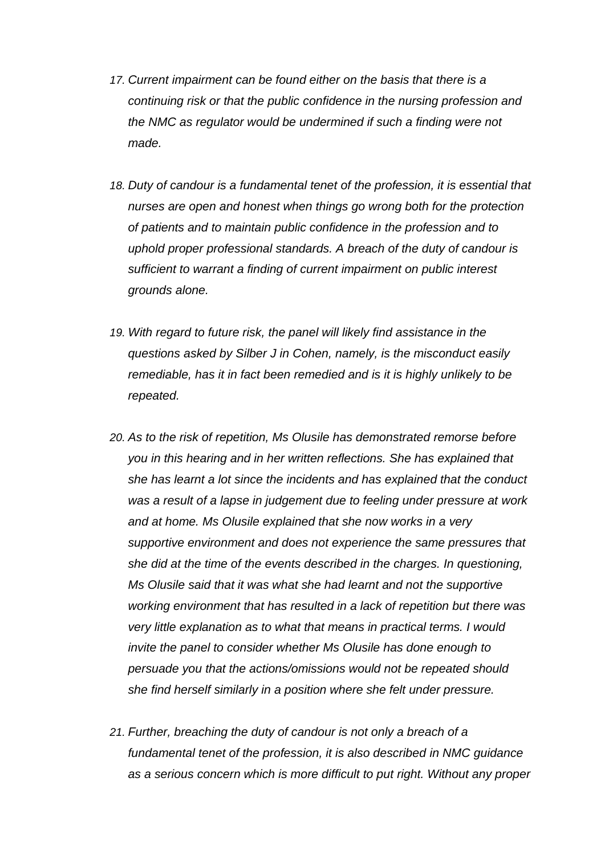- *17. Current impairment can be found either on the basis that there is a continuing risk or that the public confidence in the nursing profession and the NMC as regulator would be undermined if such a finding were not made.*
- *18. Duty of candour is a fundamental tenet of the profession, it is essential that nurses are open and honest when things go wrong both for the protection of patients and to maintain public confidence in the profession and to uphold proper professional standards. A breach of the duty of candour is sufficient to warrant a finding of current impairment on public interest grounds alone.*
- *19. With regard to future risk, the panel will likely find assistance in the questions asked by Silber J in Cohen, namely, is the misconduct easily remediable, has it in fact been remedied and is it is highly unlikely to be repeated.*
- *20. As to the risk of repetition, Ms Olusile has demonstrated remorse before you in this hearing and in her written reflections. She has explained that she has learnt a lot since the incidents and has explained that the conduct was a result of a lapse in judgement due to feeling under pressure at work and at home. Ms Olusile explained that she now works in a very supportive environment and does not experience the same pressures that she did at the time of the events described in the charges. In questioning, Ms Olusile said that it was what she had learnt and not the supportive working environment that has resulted in a lack of repetition but there was very little explanation as to what that means in practical terms. I would invite the panel to consider whether Ms Olusile has done enough to persuade you that the actions/omissions would not be repeated should she find herself similarly in a position where she felt under pressure.*
- *21. Further, breaching the duty of candour is not only a breach of a fundamental tenet of the profession, it is also described in NMC guidance as a serious concern which is more difficult to put right. Without any proper*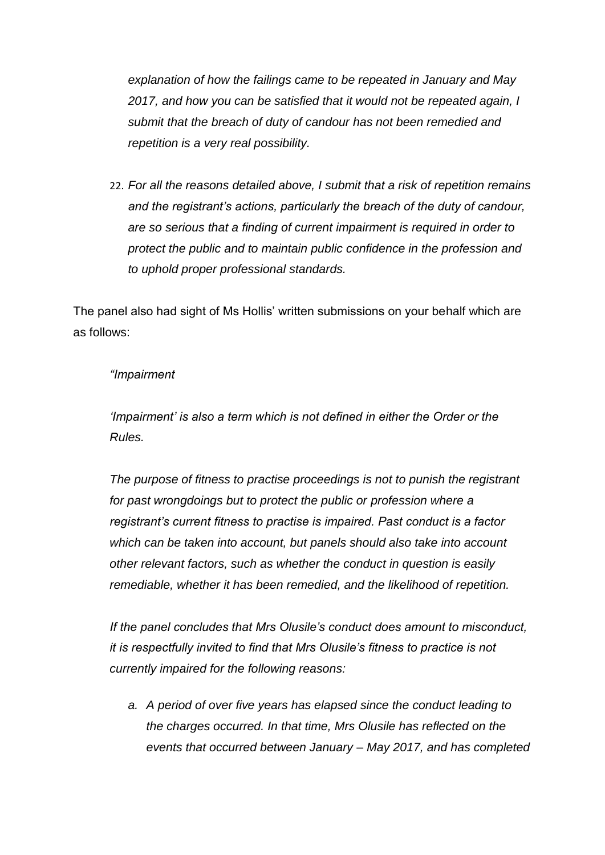*explanation of how the failings came to be repeated in January and May 2017, and how you can be satisfied that it would not be repeated again, I submit that the breach of duty of candour has not been remedied and repetition is a very real possibility.* 

22. *For all the reasons detailed above, I submit that a risk of repetition remains and the registrant's actions, particularly the breach of the duty of candour, are so serious that a finding of current impairment is required in order to protect the public and to maintain public confidence in the profession and to uphold proper professional standards.*

The panel also had sight of Ms Hollis' written submissions on your behalf which are as follows:

### *"Impairment*

*'Impairment' is also a term which is not defined in either the Order or the Rules.* 

*The purpose of fitness to practise proceedings is not to punish the registrant for past wrongdoings but to protect the public or profession where a registrant's current fitness to practise is impaired. Past conduct is a factor which can be taken into account, but panels should also take into account other relevant factors, such as whether the conduct in question is easily remediable, whether it has been remedied, and the likelihood of repetition.* 

*If the panel concludes that Mrs Olusile's conduct does amount to misconduct, it is respectfully invited to find that Mrs Olusile's fitness to practice is not currently impaired for the following reasons:* 

*a. A period of over five years has elapsed since the conduct leading to the charges occurred. In that time, Mrs Olusile has reflected on the events that occurred between January – May 2017, and has completed*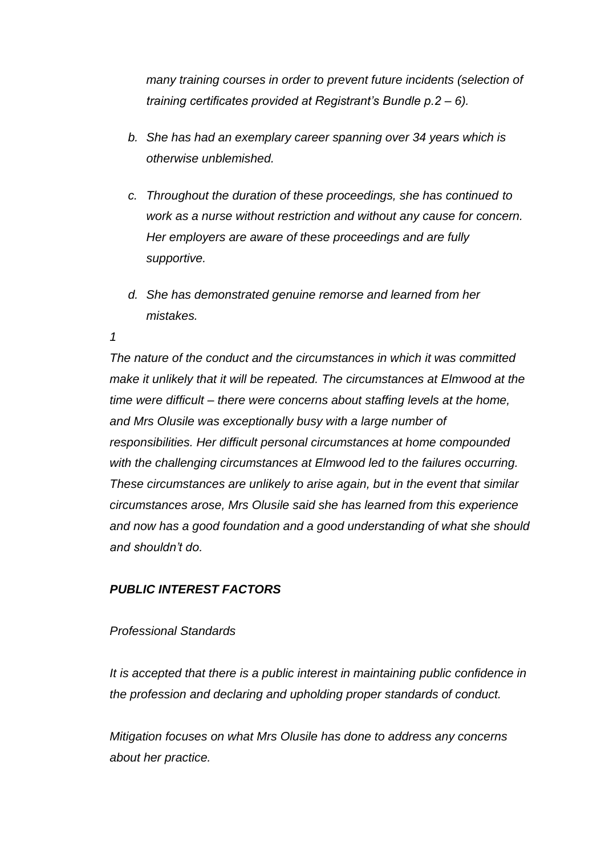*many training courses in order to prevent future incidents (selection of training certificates provided at Registrant's Bundle p.2 – 6).* 

- *b. She has had an exemplary career spanning over 34 years which is otherwise unblemished.*
- *c. Throughout the duration of these proceedings, she has continued to work as a nurse without restriction and without any cause for concern. Her employers are aware of these proceedings and are fully supportive.*
- *d. She has demonstrated genuine remorse and learned from her mistakes.*

*1*

*The nature of the conduct and the circumstances in which it was committed make it unlikely that it will be repeated. The circumstances at Elmwood at the time were difficult – there were concerns about staffing levels at the home, and Mrs Olusile was exceptionally busy with a large number of responsibilities. Her difficult personal circumstances at home compounded with the challenging circumstances at Elmwood led to the failures occurring. These circumstances are unlikely to arise again, but in the event that similar circumstances arose, Mrs Olusile said she has learned from this experience and now has a good foundation and a good understanding of what she should and shouldn't do.* 

## *PUBLIC INTEREST FACTORS*

### *Professional Standards*

*It is accepted that there is a public interest in maintaining public confidence in the profession and declaring and upholding proper standards of conduct.* 

*Mitigation focuses on what Mrs Olusile has done to address any concerns about her practice.*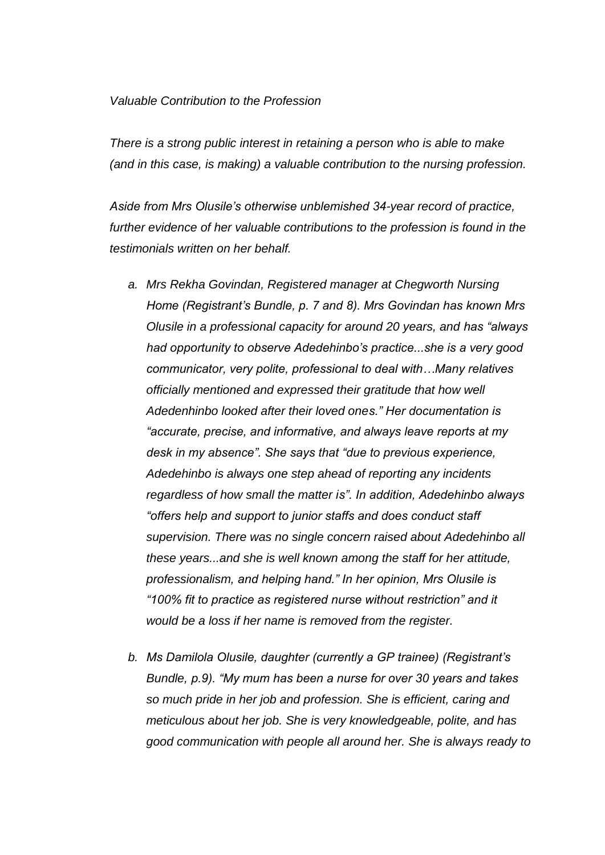#### *Valuable Contribution to the Profession*

*There is a strong public interest in retaining a person who is able to make (and in this case, is making) a valuable contribution to the nursing profession.* 

*Aside from Mrs Olusile's otherwise unblemished 34-year record of practice, further evidence of her valuable contributions to the profession is found in the testimonials written on her behalf.*

- *a. Mrs Rekha Govindan, Registered manager at Chegworth Nursing Home (Registrant's Bundle, p. 7 and 8). Mrs Govindan has known Mrs Olusile in a professional capacity for around 20 years, and has "always had opportunity to observe Adedehinbo's practice...she is a very good communicator, very polite, professional to deal with…Many relatives officially mentioned and expressed their gratitude that how well Adedenhinbo looked after their loved ones." Her documentation is "accurate, precise, and informative, and always leave reports at my desk in my absence". She says that "due to previous experience, Adedehinbo is always one step ahead of reporting any incidents regardless of how small the matter is". In addition, Adedehinbo always "offers help and support to junior staffs and does conduct staff supervision. There was no single concern raised about Adedehinbo all these years...and she is well known among the staff for her attitude, professionalism, and helping hand." In her opinion, Mrs Olusile is "100% fit to practice as registered nurse without restriction" and it would be a loss if her name is removed from the register.*
- *b. Ms Damilola Olusile, daughter (currently a GP trainee) (Registrant's Bundle, p.9). "My mum has been a nurse for over 30 years and takes so much pride in her job and profession. She is efficient, caring and meticulous about her job. She is very knowledgeable, polite, and has good communication with people all around her. She is always ready to*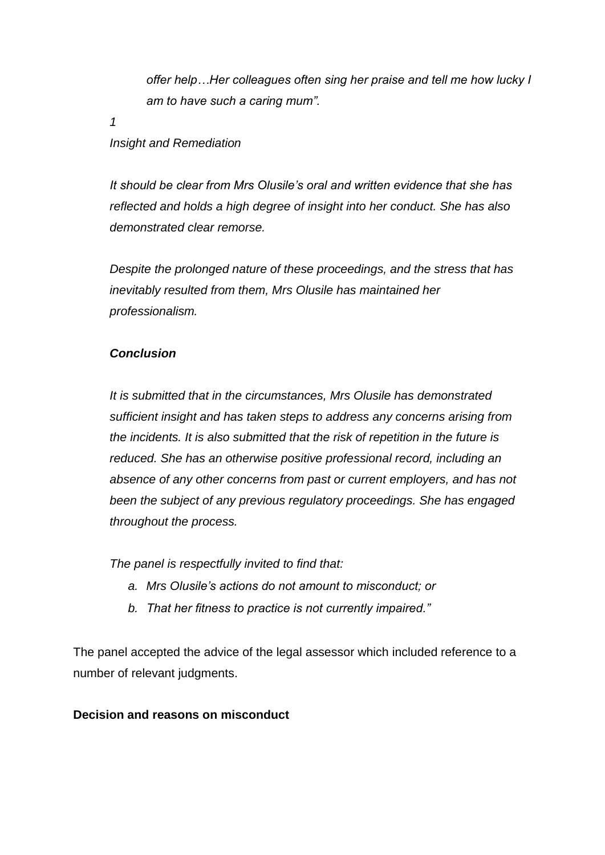*offer help…Her colleagues often sing her praise and tell me how lucky I am to have such a caring mum".* 

*Insight and Remediation* 

*1*

*It should be clear from Mrs Olusile's oral and written evidence that she has reflected and holds a high degree of insight into her conduct. She has also demonstrated clear remorse.* 

*Despite the prolonged nature of these proceedings, and the stress that has inevitably resulted from them, Mrs Olusile has maintained her professionalism.* 

# *Conclusion*

*It is submitted that in the circumstances, Mrs Olusile has demonstrated sufficient insight and has taken steps to address any concerns arising from the incidents. It is also submitted that the risk of repetition in the future is reduced. She has an otherwise positive professional record, including an absence of any other concerns from past or current employers, and has not been the subject of any previous regulatory proceedings. She has engaged throughout the process.* 

*The panel is respectfully invited to find that:* 

- *a. Mrs Olusile's actions do not amount to misconduct; or*
- *b. That her fitness to practice is not currently impaired."*

The panel accepted the advice of the legal assessor which included reference to a number of relevant judgments.

## **Decision and reasons on misconduct**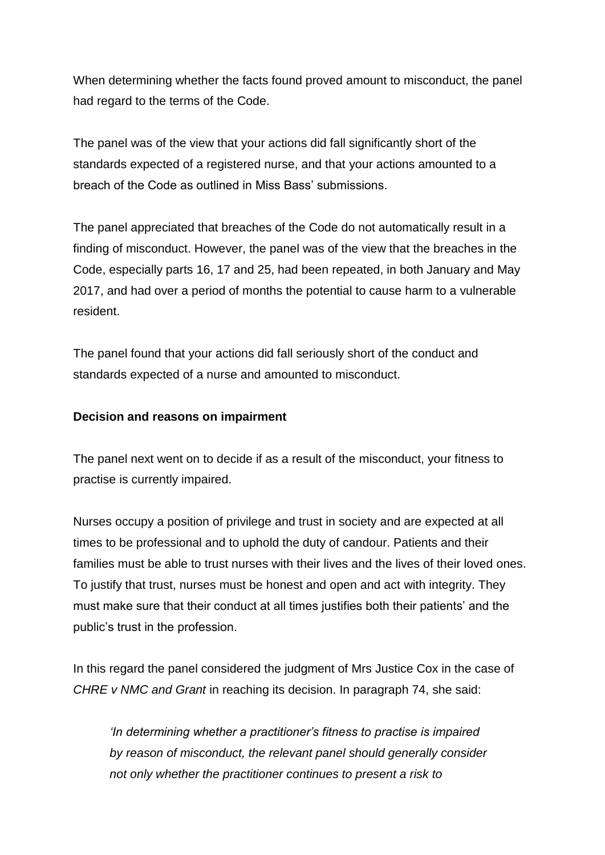When determining whether the facts found proved amount to misconduct, the panel had regard to the terms of the Code.

The panel was of the view that your actions did fall significantly short of the standards expected of a registered nurse, and that your actions amounted to a breach of the Code as outlined in Miss Bass' submissions.

The panel appreciated that breaches of the Code do not automatically result in a finding of misconduct. However, the panel was of the view that the breaches in the Code, especially parts 16, 17 and 25, had been repeated, in both January and May 2017, and had over a period of months the potential to cause harm to a vulnerable resident.

The panel found that your actions did fall seriously short of the conduct and standards expected of a nurse and amounted to misconduct.

### **Decision and reasons on impairment**

The panel next went on to decide if as a result of the misconduct, your fitness to practise is currently impaired.

Nurses occupy a position of privilege and trust in society and are expected at all times to be professional and to uphold the duty of candour. Patients and their families must be able to trust nurses with their lives and the lives of their loved ones. To justify that trust, nurses must be honest and open and act with integrity. They must make sure that their conduct at all times justifies both their patients' and the public's trust in the profession.

In this regard the panel considered the judgment of Mrs Justice Cox in the case of *CHRE v NMC and Grant* in reaching its decision. In paragraph 74, she said:

*'In determining whether a practitioner's fitness to practise is impaired by reason of misconduct, the relevant panel should generally consider not only whether the practitioner continues to present a risk to*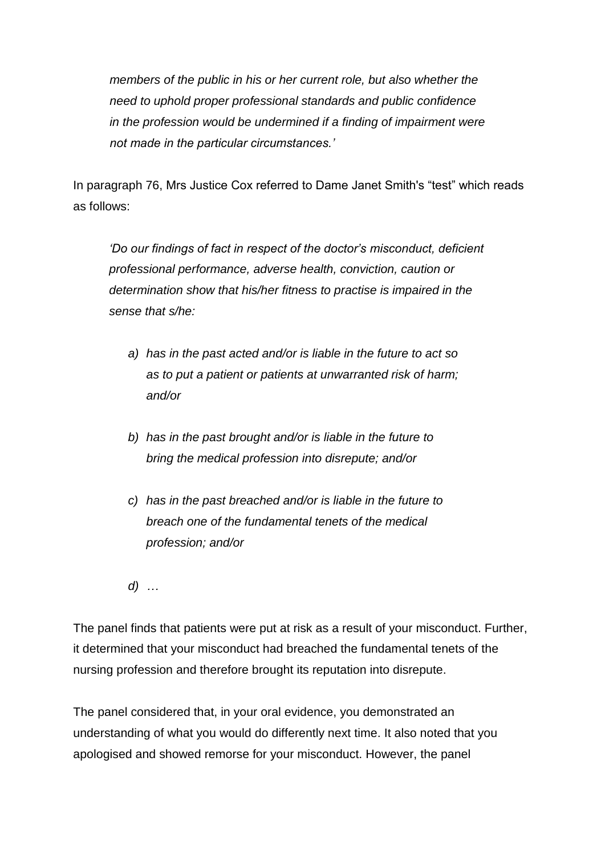*members of the public in his or her current role, but also whether the need to uphold proper professional standards and public confidence in the profession would be undermined if a finding of impairment were not made in the particular circumstances.'*

In paragraph 76, Mrs Justice Cox referred to Dame Janet Smith's "test" which reads as follows:

*'Do our findings of fact in respect of the doctor's misconduct, deficient professional performance, adverse health, conviction, caution or determination show that his/her fitness to practise is impaired in the sense that s/he:*

- *a) has in the past acted and/or is liable in the future to act so as to put a patient or patients at unwarranted risk of harm; and/or*
- *b) has in the past brought and/or is liable in the future to bring the medical profession into disrepute; and/or*
- *c) has in the past breached and/or is liable in the future to breach one of the fundamental tenets of the medical profession; and/or*
- *d) …*

The panel finds that patients were put at risk as a result of your misconduct. Further, it determined that your misconduct had breached the fundamental tenets of the nursing profession and therefore brought its reputation into disrepute.

The panel considered that, in your oral evidence, you demonstrated an understanding of what you would do differently next time. It also noted that you apologised and showed remorse for your misconduct. However, the panel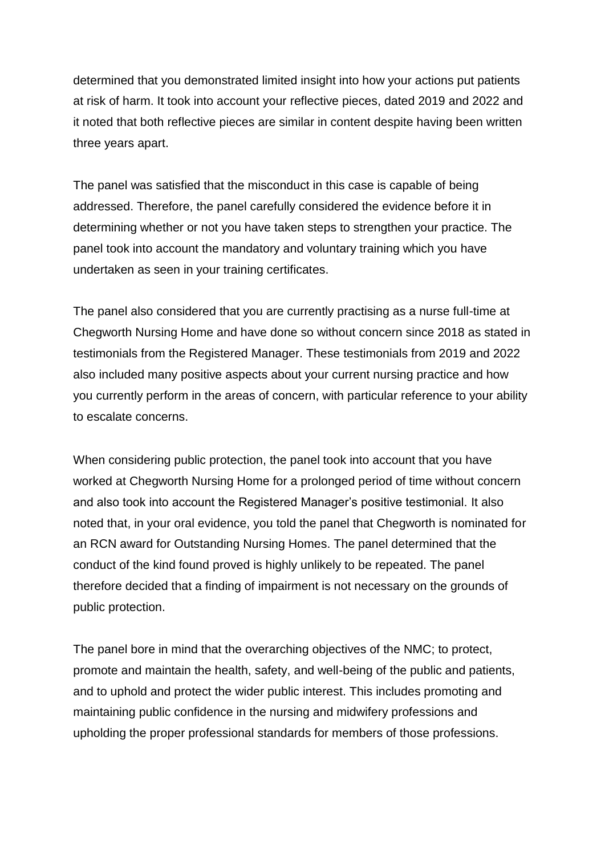determined that you demonstrated limited insight into how your actions put patients at risk of harm. It took into account your reflective pieces, dated 2019 and 2022 and it noted that both reflective pieces are similar in content despite having been written three years apart.

The panel was satisfied that the misconduct in this case is capable of being addressed. Therefore, the panel carefully considered the evidence before it in determining whether or not you have taken steps to strengthen your practice. The panel took into account the mandatory and voluntary training which you have undertaken as seen in your training certificates.

The panel also considered that you are currently practising as a nurse full-time at Chegworth Nursing Home and have done so without concern since 2018 as stated in testimonials from the Registered Manager. These testimonials from 2019 and 2022 also included many positive aspects about your current nursing practice and how you currently perform in the areas of concern, with particular reference to your ability to escalate concerns.

When considering public protection, the panel took into account that you have worked at Chegworth Nursing Home for a prolonged period of time without concern and also took into account the Registered Manager's positive testimonial. It also noted that, in your oral evidence, you told the panel that Chegworth is nominated for an RCN award for Outstanding Nursing Homes. The panel determined that the conduct of the kind found proved is highly unlikely to be repeated. The panel therefore decided that a finding of impairment is not necessary on the grounds of public protection.

The panel bore in mind that the overarching objectives of the NMC; to protect, promote and maintain the health, safety, and well-being of the public and patients, and to uphold and protect the wider public interest. This includes promoting and maintaining public confidence in the nursing and midwifery professions and upholding the proper professional standards for members of those professions.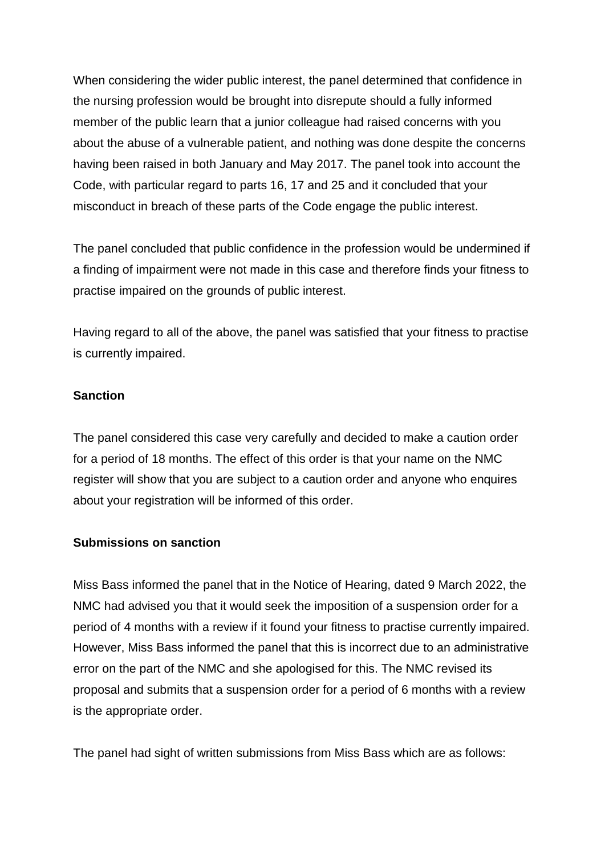When considering the wider public interest, the panel determined that confidence in the nursing profession would be brought into disrepute should a fully informed member of the public learn that a junior colleague had raised concerns with you about the abuse of a vulnerable patient, and nothing was done despite the concerns having been raised in both January and May 2017. The panel took into account the Code, with particular regard to parts 16, 17 and 25 and it concluded that your misconduct in breach of these parts of the Code engage the public interest.

The panel concluded that public confidence in the profession would be undermined if a finding of impairment were not made in this case and therefore finds your fitness to practise impaired on the grounds of public interest.

Having regard to all of the above, the panel was satisfied that your fitness to practise is currently impaired.

### **Sanction**

The panel considered this case very carefully and decided to make a caution order for a period of 18 months. The effect of this order is that your name on the NMC register will show that you are subject to a caution order and anyone who enquires about your registration will be informed of this order.

### **Submissions on sanction**

Miss Bass informed the panel that in the Notice of Hearing, dated 9 March 2022, the NMC had advised you that it would seek the imposition of a suspension order for a period of 4 months with a review if it found your fitness to practise currently impaired. However, Miss Bass informed the panel that this is incorrect due to an administrative error on the part of the NMC and she apologised for this. The NMC revised its proposal and submits that a suspension order for a period of 6 months with a review is the appropriate order.

The panel had sight of written submissions from Miss Bass which are as follows: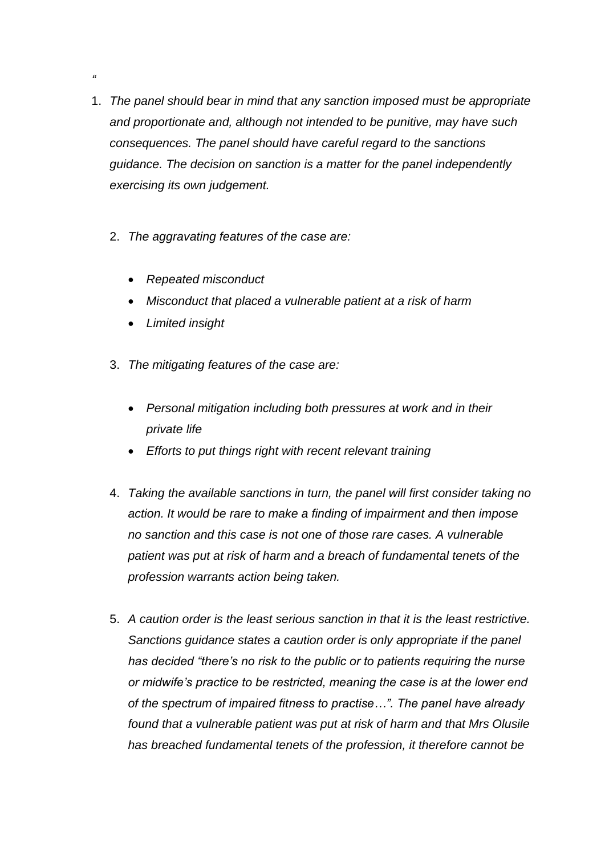- 1. *The panel should bear in mind that any sanction imposed must be appropriate and proportionate and, although not intended to be punitive, may have such consequences. The panel should have careful regard to the sanctions guidance. The decision on sanction is a matter for the panel independently exercising its own judgement.*
	- 2. *The aggravating features of the case are:*
		- *Repeated misconduct*
		- *Misconduct that placed a vulnerable patient at a risk of harm*
		- *Limited insight*

*"*

- 3. *The mitigating features of the case are:*
	- *Personal mitigation including both pressures at work and in their private life*
	- *Efforts to put things right with recent relevant training*
- 4. *Taking the available sanctions in turn, the panel will first consider taking no action. It would be rare to make a finding of impairment and then impose no sanction and this case is not one of those rare cases. A vulnerable patient was put at risk of harm and a breach of fundamental tenets of the profession warrants action being taken.*
- 5. *A caution order is the least serious sanction in that it is the least restrictive. Sanctions guidance states a caution order is only appropriate if the panel has decided "there's no risk to the public or to patients requiring the nurse or midwife's practice to be restricted, meaning the case is at the lower end of the spectrum of impaired fitness to practise…". The panel have already found that a vulnerable patient was put at risk of harm and that Mrs Olusile has breached fundamental tenets of the profession, it therefore cannot be*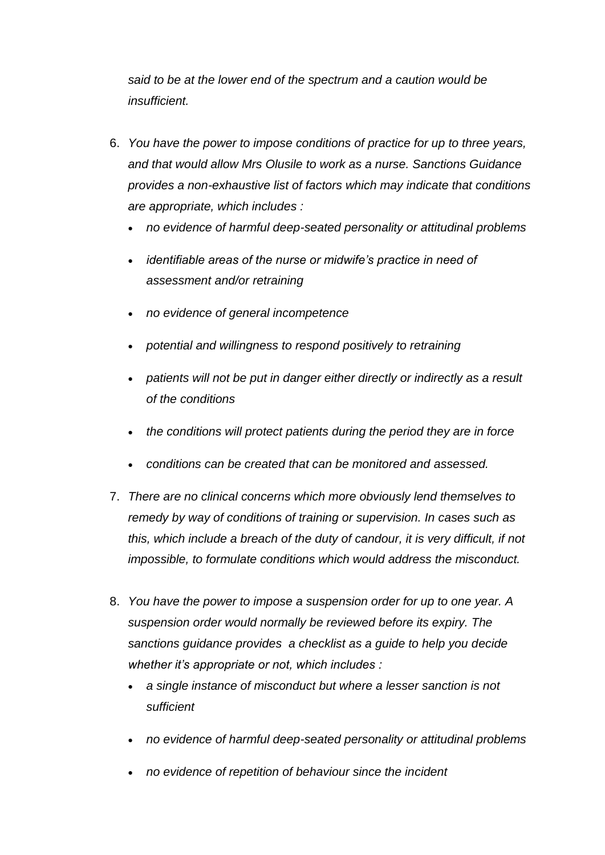*said to be at the lower end of the spectrum and a caution would be insufficient.*

- 6. *You have the power to impose conditions of practice for up to three years, and that would allow Mrs Olusile to work as a nurse. Sanctions Guidance provides a non-exhaustive list of factors which may indicate that conditions are appropriate, which includes :*
	- *no evidence of harmful deep-seated personality or attitudinal problems*
	- *identifiable areas of the nurse or midwife's practice in need of assessment and/or retraining*
	- *no evidence of general incompetence*
	- *potential and willingness to respond positively to retraining*
	- *patients will not be put in danger either directly or indirectly as a result of the conditions*
	- *the conditions will protect patients during the period they are in force*
	- *conditions can be created that can be monitored and assessed.*
- 7. *There are no clinical concerns which more obviously lend themselves to remedy by way of conditions of training or supervision. In cases such as this, which include a breach of the duty of candour, it is very difficult, if not impossible, to formulate conditions which would address the misconduct.*
- 8. *You have the power to impose a suspension order for up to one year. A suspension order would normally be reviewed before its expiry. The sanctions guidance provides a checklist as a guide to help you decide whether it's appropriate or not, which includes :*
	- *a single instance of misconduct but where a lesser sanction is not sufficient*
	- *no evidence of harmful deep-seated personality or attitudinal problems*
	- *no evidence of repetition of behaviour since the incident*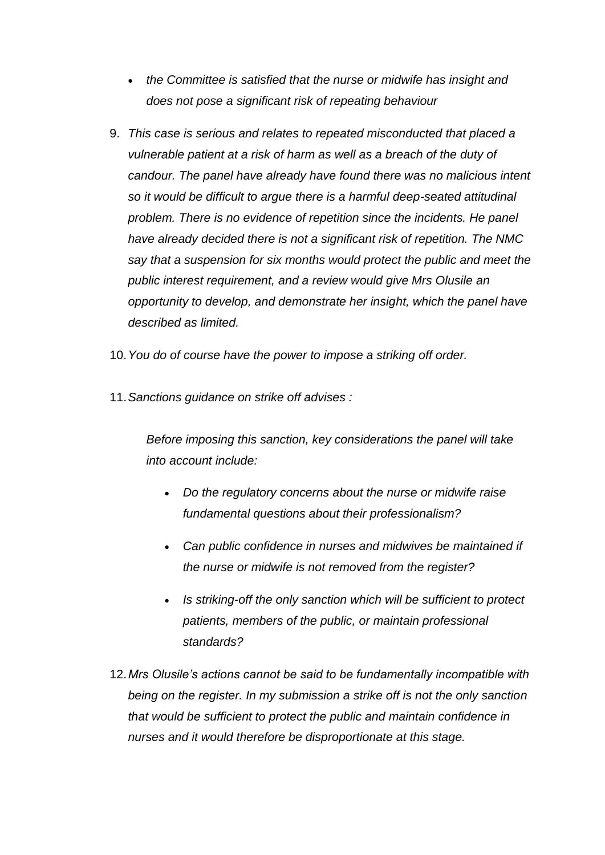- *the Committee is satisfied that the nurse or midwife has insight and does not pose a significant risk of repeating behaviour*
- 9. *This case is serious and relates to repeated misconducted that placed a vulnerable patient at a risk of harm as well as a breach of the duty of candour. The panel have already have found there was no malicious intent so it would be difficult to argue there is a harmful deep-seated attitudinal problem. There is no evidence of repetition since the incidents. He panel have already decided there is not a significant risk of repetition. The NMC say that a suspension for six months would protect the public and meet the public interest requirement, and a review would give Mrs Olusile an opportunity to develop, and demonstrate her insight, which the panel have described as limited.*
- 10.*You do of course have the power to impose a striking off order.*
- 11.*Sanctions guidance on strike off advises :*

*Before imposing this sanction, key considerations the panel will take into account include:*

- *Do the regulatory concerns about the nurse or midwife raise fundamental questions about their professionalism?*
- *Can public confidence in nurses and midwives be maintained if the nurse or midwife is not removed from the register?*
- *Is striking-off the only sanction which will be sufficient to protect patients, members of the public, or maintain professional standards?*
- 12.*Mrs Olusile's actions cannot be said to be fundamentally incompatible with being on the register. In my submission a strike off is not the only sanction that would be sufficient to protect the public and maintain confidence in nurses and it would therefore be disproportionate at this stage.*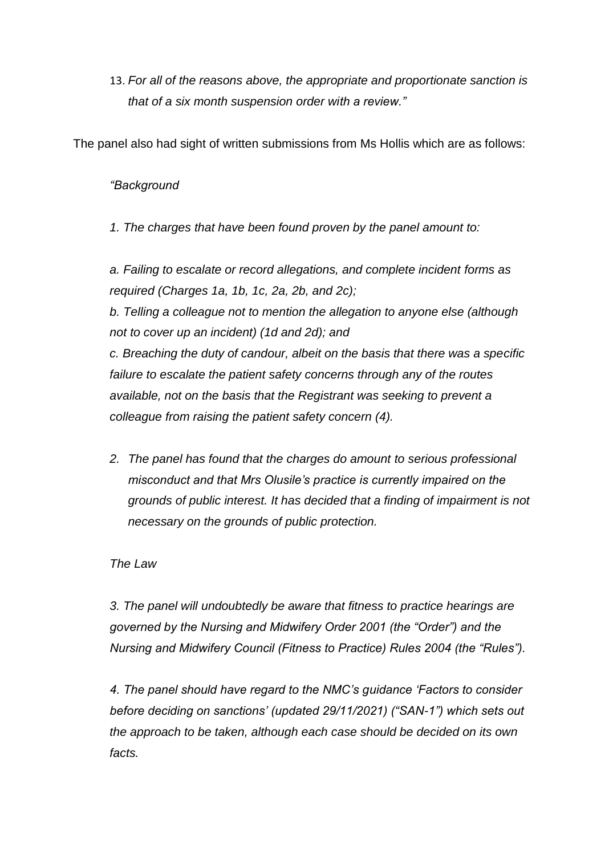13. *For all of the reasons above, the appropriate and proportionate sanction is that of a six month suspension order with a review."*

The panel also had sight of written submissions from Ms Hollis which are as follows:

### *"Background*

*1. The charges that have been found proven by the panel amount to:* 

*a. Failing to escalate or record allegations, and complete incident forms as required (Charges 1a, 1b, 1c, 2a, 2b, and 2c); b. Telling a colleague not to mention the allegation to anyone else (although not to cover up an incident) (1d and 2d); and c. Breaching the duty of candour, albeit on the basis that there was a specific failure to escalate the patient safety concerns through any of the routes available, not on the basis that the Registrant was seeking to prevent a colleague from raising the patient safety concern (4).* 

*2. The panel has found that the charges do amount to serious professional misconduct and that Mrs Olusile's practice is currently impaired on the grounds of public interest. It has decided that a finding of impairment is not necessary on the grounds of public protection.* 

### *The Law*

*3. The panel will undoubtedly be aware that fitness to practice hearings are governed by the Nursing and Midwifery Order 2001 (the "Order") and the Nursing and Midwifery Council (Fitness to Practice) Rules 2004 (the "Rules").* 

*4. The panel should have regard to the NMC's guidance 'Factors to consider before deciding on sanctions' (updated 29/11/2021) ("SAN-1") which sets out the approach to be taken, although each case should be decided on its own facts.*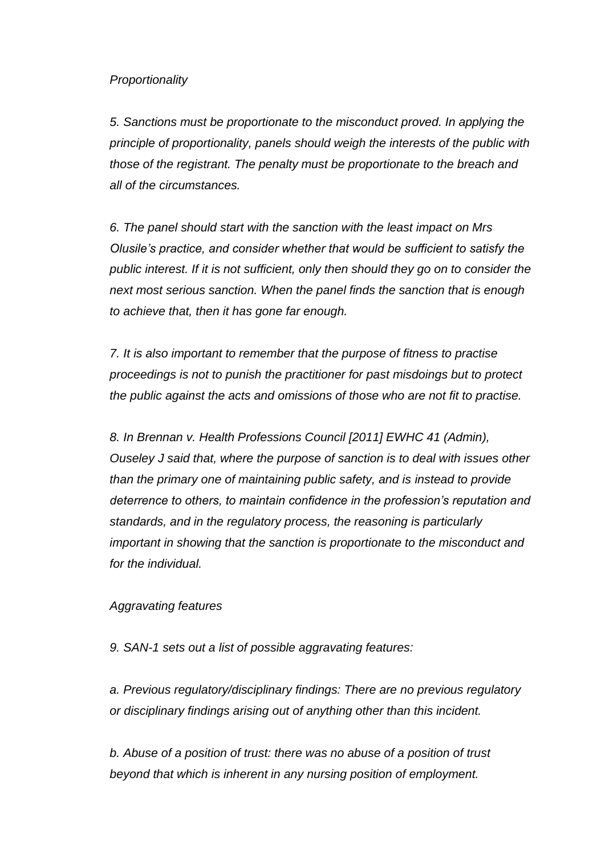#### *Proportionality*

*5. Sanctions must be proportionate to the misconduct proved. In applying the principle of proportionality, panels should weigh the interests of the public with those of the registrant. The penalty must be proportionate to the breach and all of the circumstances.* 

*6. The panel should start with the sanction with the least impact on Mrs Olusile's practice, and consider whether that would be sufficient to satisfy the public interest. If it is not sufficient, only then should they go on to consider the next most serious sanction. When the panel finds the sanction that is enough to achieve that, then it has gone far enough.* 

*7. It is also important to remember that the purpose of fitness to practise proceedings is not to punish the practitioner for past misdoings but to protect the public against the acts and omissions of those who are not fit to practise.* 

*8. In Brennan v. Health Professions Council [2011] EWHC 41 (Admin), Ouseley J said that, where the purpose of sanction is to deal with issues other than the primary one of maintaining public safety, and is instead to provide deterrence to others, to maintain confidence in the profession's reputation and standards, and in the regulatory process, the reasoning is particularly important in showing that the sanction is proportionate to the misconduct and for the individual.* 

### *Aggravating features*

*9. SAN-1 sets out a list of possible aggravating features:* 

*a. Previous regulatory/disciplinary findings: There are no previous regulatory or disciplinary findings arising out of anything other than this incident.* 

*b. Abuse of a position of trust: there was no abuse of a position of trust beyond that which is inherent in any nursing position of employment.*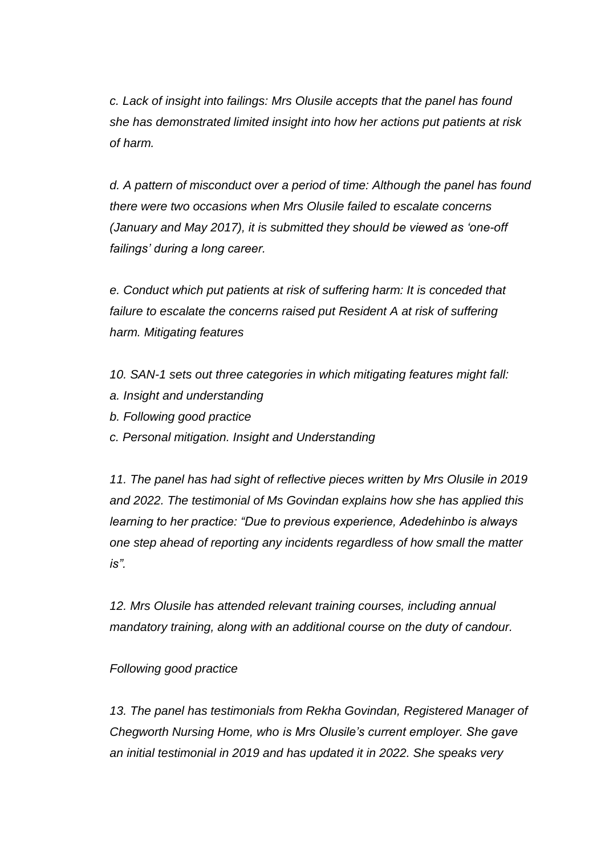*c. Lack of insight into failings: Mrs Olusile accepts that the panel has found she has demonstrated limited insight into how her actions put patients at risk of harm.* 

*d. A pattern of misconduct over a period of time: Although the panel has found there were two occasions when Mrs Olusile failed to escalate concerns (January and May 2017), it is submitted they should be viewed as 'one-off failings' during a long career.* 

*e. Conduct which put patients at risk of suffering harm: It is conceded that failure to escalate the concerns raised put Resident A at risk of suffering harm. Mitigating features* 

- *10. SAN-1 sets out three categories in which mitigating features might fall:*
- *a. Insight and understanding*
- *b. Following good practice*
- *c. Personal mitigation. Insight and Understanding*

*11. The panel has had sight of reflective pieces written by Mrs Olusile in 2019 and 2022. The testimonial of Ms Govindan explains how she has applied this learning to her practice: "Due to previous experience, Adedehinbo is always one step ahead of reporting any incidents regardless of how small the matter is".* 

*12. Mrs Olusile has attended relevant training courses, including annual mandatory training, along with an additional course on the duty of candour.* 

### *Following good practice*

*13. The panel has testimonials from Rekha Govindan, Registered Manager of Chegworth Nursing Home, who is Mrs Olusile's current employer. She gave an initial testimonial in 2019 and has updated it in 2022. She speaks very*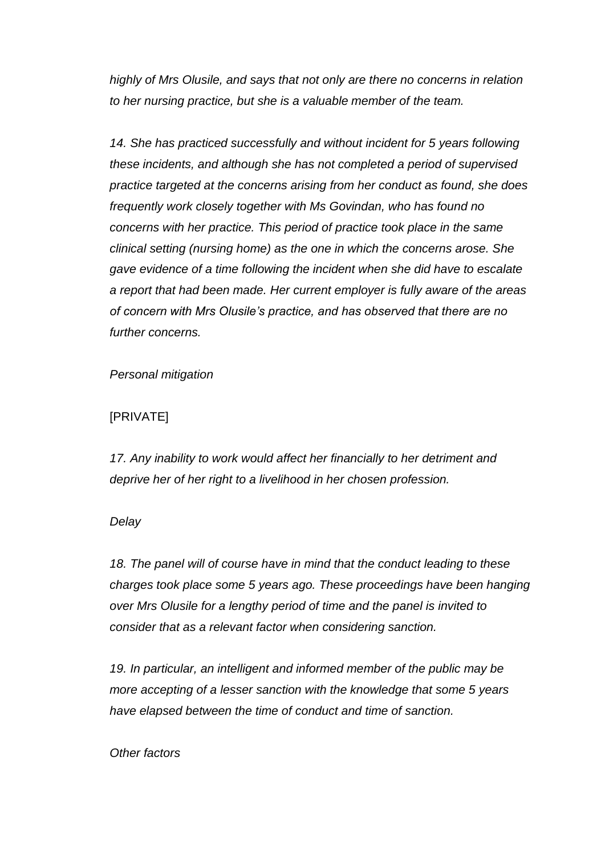*highly of Mrs Olusile, and says that not only are there no concerns in relation to her nursing practice, but she is a valuable member of the team.* 

*14. She has practiced successfully and without incident for 5 years following these incidents, and although she has not completed a period of supervised practice targeted at the concerns arising from her conduct as found, she does frequently work closely together with Ms Govindan, who has found no concerns with her practice. This period of practice took place in the same clinical setting (nursing home) as the one in which the concerns arose. She gave evidence of a time following the incident when she did have to escalate a report that had been made. Her current employer is fully aware of the areas of concern with Mrs Olusile's practice, and has observed that there are no further concerns.*

*Personal mitigation* 

## [PRIVATE]

*17. Any inability to work would affect her financially to her detriment and deprive her of her right to a livelihood in her chosen profession.* 

### *Delay*

*18. The panel will of course have in mind that the conduct leading to these charges took place some 5 years ago. These proceedings have been hanging over Mrs Olusile for a lengthy period of time and the panel is invited to consider that as a relevant factor when considering sanction.* 

*19. In particular, an intelligent and informed member of the public may be more accepting of a lesser sanction with the knowledge that some 5 years have elapsed between the time of conduct and time of sanction.* 

*Other factors*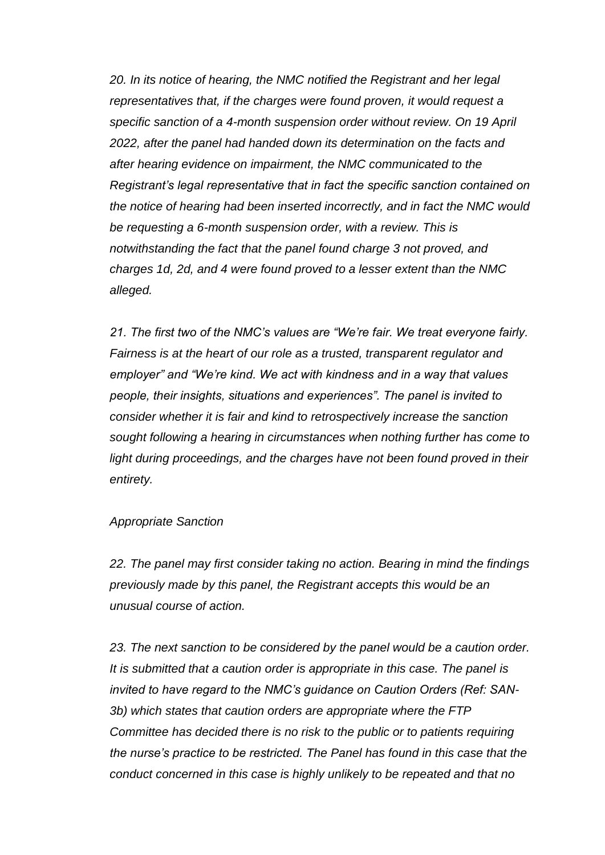*20. In its notice of hearing, the NMC notified the Registrant and her legal representatives that, if the charges were found proven, it would request a specific sanction of a 4-month suspension order without review. On 19 April 2022, after the panel had handed down its determination on the facts and after hearing evidence on impairment, the NMC communicated to the Registrant's legal representative that in fact the specific sanction contained on the notice of hearing had been inserted incorrectly, and in fact the NMC would be requesting a 6-month suspension order, with a review. This is notwithstanding the fact that the panel found charge 3 not proved, and charges 1d, 2d, and 4 were found proved to a lesser extent than the NMC alleged.* 

*21. The first two of the NMC's values are "We're fair. We treat everyone fairly. Fairness is at the heart of our role as a trusted, transparent regulator and employer" and "We're kind. We act with kindness and in a way that values people, their insights, situations and experiences". The panel is invited to consider whether it is fair and kind to retrospectively increase the sanction sought following a hearing in circumstances when nothing further has come to*  light during proceedings, and the charges have not been found proved in their *entirety.*

#### *Appropriate Sanction*

*22. The panel may first consider taking no action. Bearing in mind the findings previously made by this panel, the Registrant accepts this would be an unusual course of action.* 

*23. The next sanction to be considered by the panel would be a caution order. It is submitted that a caution order is appropriate in this case. The panel is invited to have regard to the NMC's guidance on Caution Orders (Ref: SAN-3b) which states that caution orders are appropriate where the FTP Committee has decided there is no risk to the public or to patients requiring the nurse's practice to be restricted. The Panel has found in this case that the conduct concerned in this case is highly unlikely to be repeated and that no*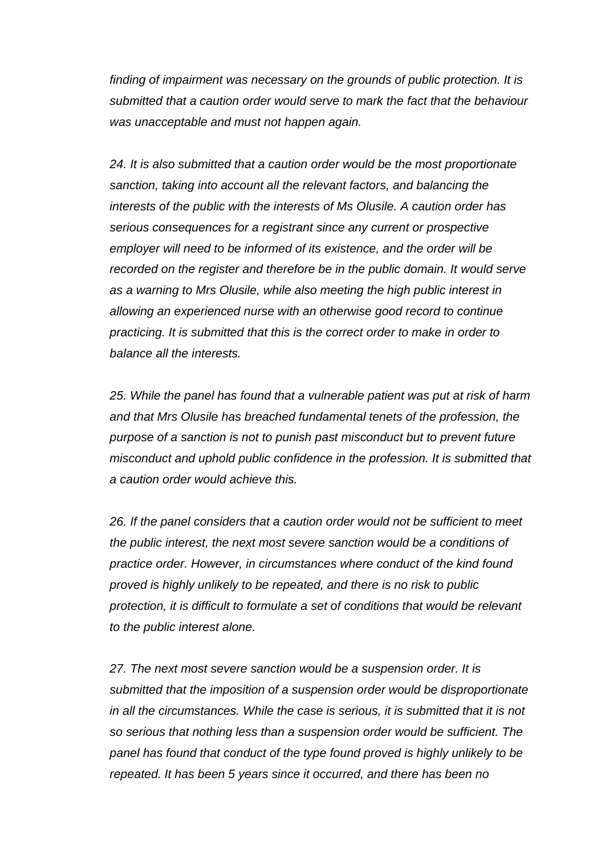*finding of impairment was necessary on the grounds of public protection. It is submitted that a caution order would serve to mark the fact that the behaviour was unacceptable and must not happen again.*

*24. It is also submitted that a caution order would be the most proportionate sanction, taking into account all the relevant factors, and balancing the interests of the public with the interests of Ms Olusile. A caution order has serious consequences for a registrant since any current or prospective employer will need to be informed of its existence, and the order will be recorded on the register and therefore be in the public domain. It would serve as a warning to Mrs Olusile, while also meeting the high public interest in allowing an experienced nurse with an otherwise good record to continue practicing. It is submitted that this is the correct order to make in order to balance all the interests.* 

*25. While the panel has found that a vulnerable patient was put at risk of harm and that Mrs Olusile has breached fundamental tenets of the profession, the purpose of a sanction is not to punish past misconduct but to prevent future misconduct and uphold public confidence in the profession. It is submitted that a caution order would achieve this.* 

*26. If the panel considers that a caution order would not be sufficient to meet the public interest, the next most severe sanction would be a conditions of practice order. However, in circumstances where conduct of the kind found proved is highly unlikely to be repeated, and there is no risk to public protection, it is difficult to formulate a set of conditions that would be relevant to the public interest alone.* 

*27. The next most severe sanction would be a suspension order. It is submitted that the imposition of a suspension order would be disproportionate in all the circumstances. While the case is serious, it is submitted that it is not so serious that nothing less than a suspension order would be sufficient. The panel has found that conduct of the type found proved is highly unlikely to be repeated. It has been 5 years since it occurred, and there has been no*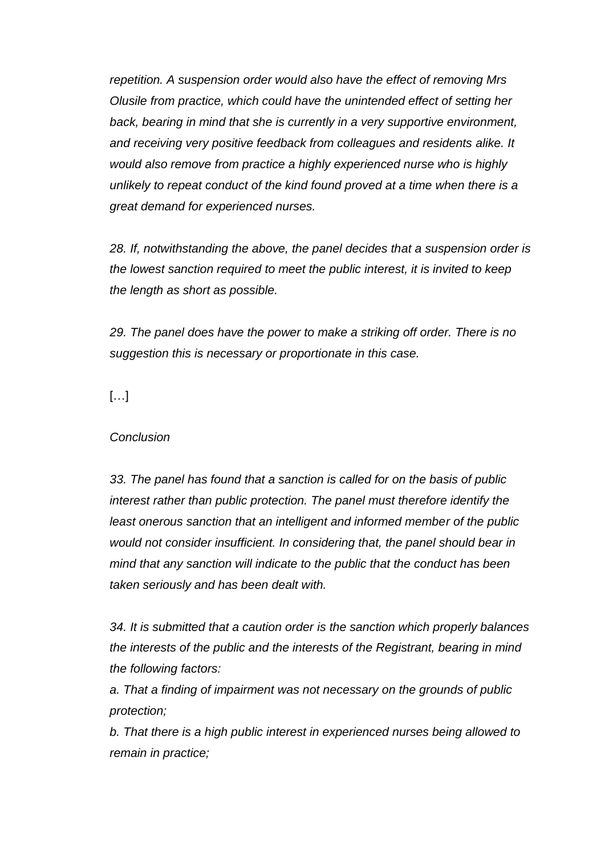*repetition. A suspension order would also have the effect of removing Mrs Olusile from practice, which could have the unintended effect of setting her back, bearing in mind that she is currently in a very supportive environment, and receiving very positive feedback from colleagues and residents alike. It would also remove from practice a highly experienced nurse who is highly unlikely to repeat conduct of the kind found proved at a time when there is a great demand for experienced nurses.* 

*28. If, notwithstanding the above, the panel decides that a suspension order is the lowest sanction required to meet the public interest, it is invited to keep the length as short as possible.* 

*29. The panel does have the power to make a striking off order. There is no suggestion this is necessary or proportionate in this case.* 

[…]

## *Conclusion*

*33. The panel has found that a sanction is called for on the basis of public interest rather than public protection. The panel must therefore identify the least onerous sanction that an intelligent and informed member of the public would not consider insufficient. In considering that, the panel should bear in mind that any sanction will indicate to the public that the conduct has been taken seriously and has been dealt with.* 

*34. It is submitted that a caution order is the sanction which properly balances the interests of the public and the interests of the Registrant, bearing in mind the following factors:* 

*a. That a finding of impairment was not necessary on the grounds of public protection;* 

*b. That there is a high public interest in experienced nurses being allowed to remain in practice;*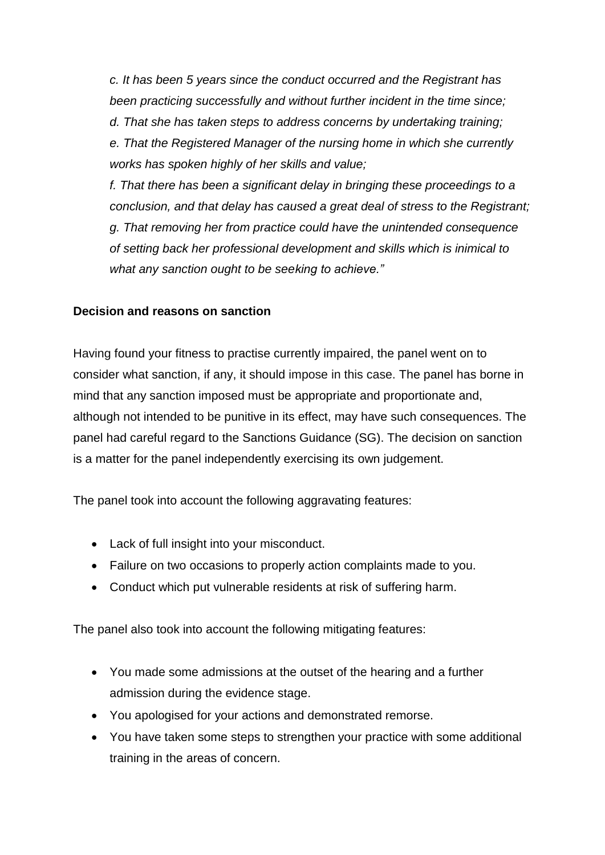*c. It has been 5 years since the conduct occurred and the Registrant has been practicing successfully and without further incident in the time since; d. That she has taken steps to address concerns by undertaking training; e. That the Registered Manager of the nursing home in which she currently works has spoken highly of her skills and value;* 

*f. That there has been a significant delay in bringing these proceedings to a conclusion, and that delay has caused a great deal of stress to the Registrant; g. That removing her from practice could have the unintended consequence of setting back her professional development and skills which is inimical to what any sanction ought to be seeking to achieve."*

### **Decision and reasons on sanction**

Having found your fitness to practise currently impaired, the panel went on to consider what sanction, if any, it should impose in this case. The panel has borne in mind that any sanction imposed must be appropriate and proportionate and, although not intended to be punitive in its effect, may have such consequences. The panel had careful regard to the Sanctions Guidance (SG). The decision on sanction is a matter for the panel independently exercising its own judgement.

The panel took into account the following aggravating features:

- Lack of full insight into your misconduct.
- Failure on two occasions to properly action complaints made to you.
- Conduct which put vulnerable residents at risk of suffering harm.

The panel also took into account the following mitigating features:

- You made some admissions at the outset of the hearing and a further admission during the evidence stage.
- You apologised for your actions and demonstrated remorse.
- You have taken some steps to strengthen your practice with some additional training in the areas of concern.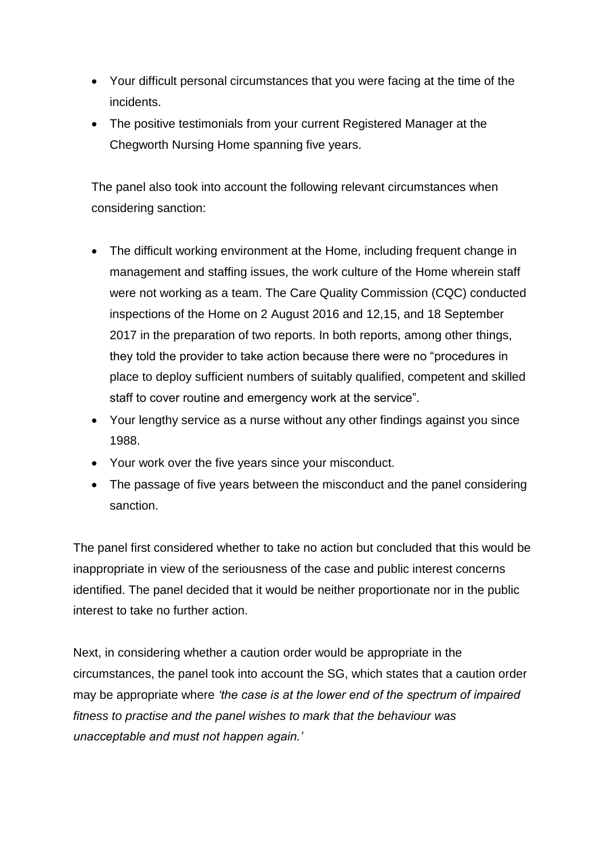- Your difficult personal circumstances that you were facing at the time of the incidents.
- The positive testimonials from your current Registered Manager at the Chegworth Nursing Home spanning five years.

The panel also took into account the following relevant circumstances when considering sanction:

- The difficult working environment at the Home, including frequent change in management and staffing issues, the work culture of the Home wherein staff were not working as a team. The Care Quality Commission (CQC) conducted inspections of the Home on 2 August 2016 and 12,15, and 18 September 2017 in the preparation of two reports. In both reports, among other things, they told the provider to take action because there were no "procedures in place to deploy sufficient numbers of suitably qualified, competent and skilled staff to cover routine and emergency work at the service".
- Your lengthy service as a nurse without any other findings against you since 1988.
- Your work over the five years since your misconduct.
- The passage of five years between the misconduct and the panel considering sanction.

The panel first considered whether to take no action but concluded that this would be inappropriate in view of the seriousness of the case and public interest concerns identified. The panel decided that it would be neither proportionate nor in the public interest to take no further action.

Next, in considering whether a caution order would be appropriate in the circumstances, the panel took into account the SG, which states that a caution order may be appropriate where *'the case is at the lower end of the spectrum of impaired fitness to practise and the panel wishes to mark that the behaviour was unacceptable and must not happen again.'*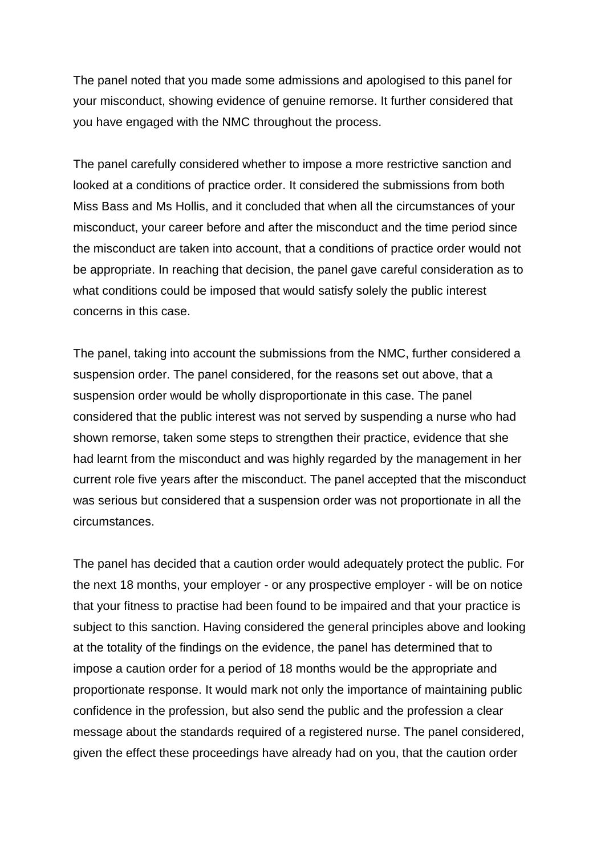The panel noted that you made some admissions and apologised to this panel for your misconduct, showing evidence of genuine remorse. It further considered that you have engaged with the NMC throughout the process.

The panel carefully considered whether to impose a more restrictive sanction and looked at a conditions of practice order. It considered the submissions from both Miss Bass and Ms Hollis, and it concluded that when all the circumstances of your misconduct, your career before and after the misconduct and the time period since the misconduct are taken into account, that a conditions of practice order would not be appropriate. In reaching that decision, the panel gave careful consideration as to what conditions could be imposed that would satisfy solely the public interest concerns in this case.

The panel, taking into account the submissions from the NMC, further considered a suspension order. The panel considered, for the reasons set out above, that a suspension order would be wholly disproportionate in this case. The panel considered that the public interest was not served by suspending a nurse who had shown remorse, taken some steps to strengthen their practice, evidence that she had learnt from the misconduct and was highly regarded by the management in her current role five years after the misconduct. The panel accepted that the misconduct was serious but considered that a suspension order was not proportionate in all the circumstances.

The panel has decided that a caution order would adequately protect the public. For the next 18 months, your employer - or any prospective employer - will be on notice that your fitness to practise had been found to be impaired and that your practice is subject to this sanction. Having considered the general principles above and looking at the totality of the findings on the evidence, the panel has determined that to impose a caution order for a period of 18 months would be the appropriate and proportionate response. It would mark not only the importance of maintaining public confidence in the profession, but also send the public and the profession a clear message about the standards required of a registered nurse. The panel considered, given the effect these proceedings have already had on you, that the caution order